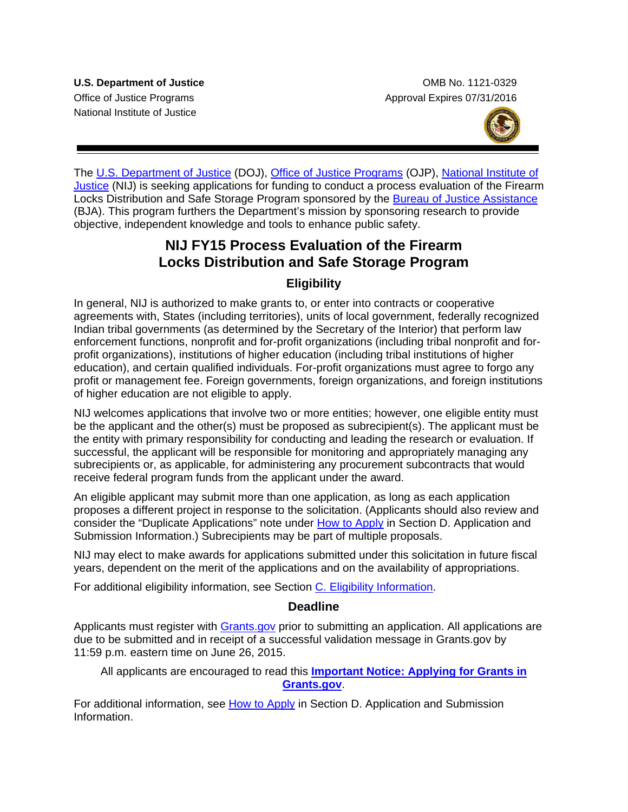National Institute of Justice

**U.S. Department of Justice Combine Combine Combine Combine Combine Combine Combine Combine Combine Combine Combine Combine Combine Combine Combine Combine Combine Combine Combine Combine Combine Combine Combine Combine Co** Office of Justice Programs **Approval Expires 07/31/2016** Approval Expires 07/31/2016



The [U.S. Department of Justice](http://www.usdoj.gov/) (DOJ), [Office of Justice Programs](http://www.ojp.usdoj.gov/) (OJP), [National Institute of](http://www.nij.gov/)  [Justice](http://www.nij.gov/) (NIJ) is seeking applications for funding to conduct a process evaluation of the Firearm Locks Distribution and Safe Storage Program sponsored by the [Bureau of Justice Assistance](http://www.bja.gov/) (BJA). This program furthers the Department's mission by sponsoring research to provide objective, independent knowledge and tools to enhance public safety.

## **NIJ FY15 Process Evaluation of the Firearm Locks Distribution and Safe Storage Program**

## **Eligibility**

In general, NIJ is authorized to make grants to, or enter into contracts or cooperative agreements with, States (including territories), units of local government, federally recognized Indian tribal governments (as determined by the Secretary of the Interior) that perform law enforcement functions, nonprofit and for-profit organizations (including tribal nonprofit and forprofit organizations), institutions of higher education (including tribal institutions of higher education), and certain qualified individuals. For-profit organizations must agree to forgo any profit or management fee. Foreign governments, foreign organizations, and foreign institutions of higher education are not eligible to apply.

NIJ welcomes applications that involve two or more entities; however, one eligible entity must be the applicant and the other(s) must be proposed as subrecipient(s). The applicant must be the entity with primary responsibility for conducting and leading the research or evaluation. If successful, the applicant will be responsible for monitoring and appropriately managing any subrecipients or, as applicable, for administering any procurement subcontracts that would receive federal program funds from the applicant under the award.

An eligible applicant may submit more than one application, as long as each application proposes a different project in response to the solicitation. (Applicants should also review and consider the "Duplicate Applications" note under [How to Apply](#page-18-0) in Section D. Application and Submission Information.) Subrecipients may be part of multiple proposals.

NIJ may elect to make awards for applications submitted under this solicitation in future fiscal years, dependent on the merit of the applications and on the availability of appropriations.

For additional eligibility information, see Section [C. Eligibility Information.](#page-8-0)

### **Deadline**

Applicants must register with [Grants.gov](http://www.grants.gov/applicants/apply_for_grants.jsp) prior to submitting an application. All applications are due to be submitted and in receipt of a successful validation message in Grants.gov by 11:59 p.m. eastern time on June 26, 2015.

All applicants are encouraged to read this **[Important Notice: Applying for Grants in](http://ojp.gov/funding/Apply/Grants-govInfo.htm)  [Grants.gov](http://ojp.gov/funding/Apply/Grants-govInfo.htm)**.

For additional information, see [How to Apply](#page-18-0) in Section D. Application and Submission Information.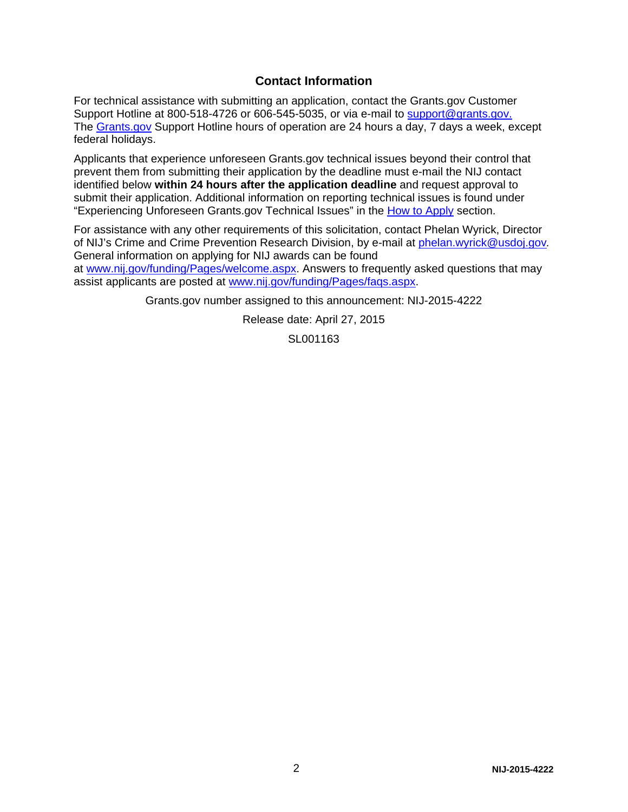## **Contact Information**

For technical assistance with submitting an application, contact the Grants.gov Customer Support Hotline at 800-518-4726 or 606-545-5035, or via e-mail to [support@grants.gov.](mailto:support@grants.gov) The [Grants.gov](http://www.grants.gov/applicants/apply_for_grants.jsp) Support Hotline hours of operation are 24 hours a day, 7 days a week, except federal holidays.

Applicants that experience unforeseen Grants.gov technical issues beyond their control that prevent them from submitting their application by the deadline must e-mail the NIJ contact identified below **within 24 hours after the application deadline** and request approval to submit their application. Additional information on reporting technical issues is found under "Experiencing Unforeseen Grants.gov Technical Issues" in the [How to Apply](#page-18-0) section.

For assistance with any other requirements of this solicitation, contact Phelan Wyrick, Director of NIJ's Crime and Crime Prevention Research Division, by e-mail at [phelan.wyrick@usdoj.gov](mailto:phelan.wyrick@usdoj.gov)*.* General information on applying for NIJ awards can be found at [www.nij.gov/funding/Pages/welcome.aspx.](http://www.nij.gov/funding/Pages/welcome.aspx) Answers to frequently asked questions that may assist applicants are posted at [www.nij.gov/funding/Pages/faqs.aspx.](http://www.nij.gov/funding/Pages/faqs.aspx)

Grants.gov number assigned to this announcement: NIJ-2015-4222

Release date: April 27, 2015

SL001163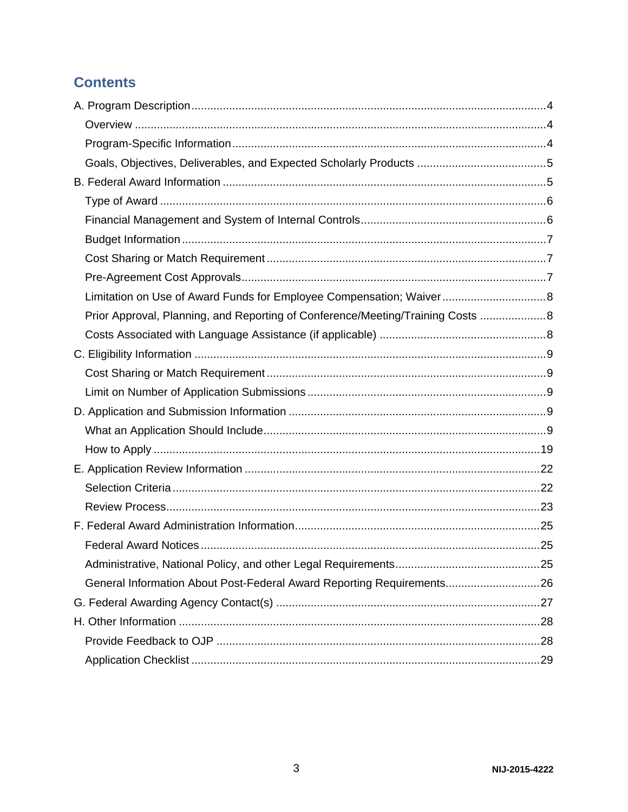## **Contents**

| Limitation on Use of Award Funds for Employee Compensation; Waiver 8            |  |
|---------------------------------------------------------------------------------|--|
| Prior Approval, Planning, and Reporting of Conference/Meeting/Training Costs  8 |  |
|                                                                                 |  |
|                                                                                 |  |
|                                                                                 |  |
|                                                                                 |  |
|                                                                                 |  |
|                                                                                 |  |
|                                                                                 |  |
|                                                                                 |  |
|                                                                                 |  |
|                                                                                 |  |
|                                                                                 |  |
|                                                                                 |  |
|                                                                                 |  |
| General Information About Post-Federal Award Reporting Requirements 26          |  |
|                                                                                 |  |
|                                                                                 |  |
|                                                                                 |  |
|                                                                                 |  |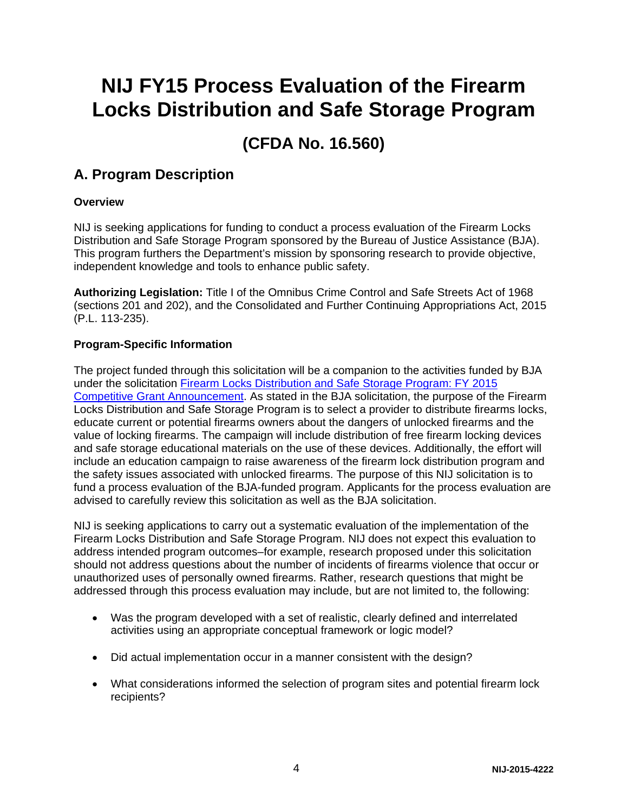# **NIJ FY15 Process Evaluation of the Firearm Locks Distribution and Safe Storage Program**

## **(CFDA No. 16.560)**

## <span id="page-3-0"></span>**A. Program Description**

### <span id="page-3-1"></span>**Overview**

NIJ is seeking applications for funding to conduct a process evaluation of the Firearm Locks Distribution and Safe Storage Program sponsored by the Bureau of Justice Assistance (BJA). This program furthers the Department's mission by sponsoring research to provide objective, independent knowledge and tools to enhance public safety.

**Authorizing Legislation:** Title I of the Omnibus Crime Control and Safe Streets Act of 1968 (sections 201 and 202), and the Consolidated and Further Continuing Appropriations Act, 2015 (P.L. 113-235).

### <span id="page-3-2"></span>**Program-Specific Information**

The project funded through this solicitation will be a companion to the activities funded by BJA under the solicitation [Firearm Locks Distribution and Safe Storage Program: FY](https://www.bja.gov/Funding/15FirearmLocksSol.pdf) 2015 [Competitive Grant Announcement.](https://www.bja.gov/Funding/15FirearmLocksSol.pdf) As stated in the BJA solicitation, the purpose of the Firearm Locks Distribution and Safe Storage Program is to select a provider to distribute firearms locks, educate current or potential firearms owners about the dangers of unlocked firearms and the value of locking firearms. The campaign will include distribution of free firearm locking devices and safe storage educational materials on the use of these devices. Additionally, the effort will include an education campaign to raise awareness of the firearm lock distribution program and the safety issues associated with unlocked firearms. The purpose of this NIJ solicitation is to fund a process evaluation of the BJA-funded program. Applicants for the process evaluation are advised to carefully review this solicitation as well as the BJA solicitation.

NIJ is seeking applications to carry out a systematic evaluation of the implementation of the Firearm Locks Distribution and Safe Storage Program. NIJ does not expect this evaluation to address intended program outcomes–for example, research proposed under this solicitation should not address questions about the number of incidents of firearms violence that occur or unauthorized uses of personally owned firearms. Rather, research questions that might be addressed through this process evaluation may include, but are not limited to, the following:

- Was the program developed with a set of realistic, clearly defined and interrelated activities using an appropriate conceptual framework or logic model?
- Did actual implementation occur in a manner consistent with the design?
- What considerations informed the selection of program sites and potential firearm lock recipients?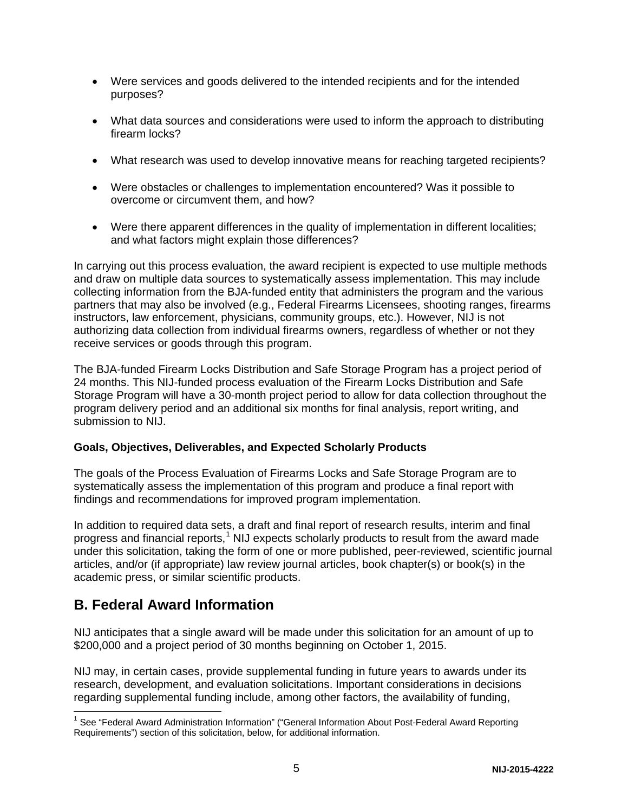- Were services and goods delivered to the intended recipients and for the intended purposes?
- What data sources and considerations were used to inform the approach to distributing firearm locks?
- What research was used to develop innovative means for reaching targeted recipients?
- Were obstacles or challenges to implementation encountered? Was it possible to overcome or circumvent them, and how?
- Were there apparent differences in the quality of implementation in different localities; and what factors might explain those differences?

In carrying out this process evaluation, the award recipient is expected to use multiple methods and draw on multiple data sources to systematically assess implementation. This may include collecting information from the BJA-funded entity that administers the program and the various partners that may also be involved (e.g., Federal Firearms Licensees, shooting ranges, firearms instructors, law enforcement, physicians, community groups, etc.). However, NIJ is not authorizing data collection from individual firearms owners, regardless of whether or not they receive services or goods through this program.

The BJA-funded Firearm Locks Distribution and Safe Storage Program has a project period of 24 months. This NIJ-funded process evaluation of the Firearm Locks Distribution and Safe Storage Program will have a 30-month project period to allow for data collection throughout the program delivery period and an additional six months for final analysis, report writing, and submission to NIJ.

### <span id="page-4-0"></span>**Goals, Objectives, Deliverables, and Expected Scholarly Products**

The goals of the Process Evaluation of Firearms Locks and Safe Storage Program are to systematically assess the implementation of this program and produce a final report with findings and recommendations for improved program implementation.

In addition to required data sets, a draft and final report of research results, interim and final progress and financial reports,<sup>[1](#page-4-2)</sup> NIJ expects scholarly products to result from the award made under this solicitation, taking the form of one or more published, peer-reviewed, scientific journal articles, and/or (if appropriate) law review journal articles, book chapter(s) or book(s) in the academic press, or similar scientific products.

## <span id="page-4-1"></span>**B. Federal Award Information**

 $\overline{\phantom{a}}$ 

NIJ anticipates that a single award will be made under this solicitation for an amount of up to \$200,000 and a project period of 30 months beginning on October 1, 2015.

NIJ may, in certain cases, provide supplemental funding in future years to awards under its research, development, and evaluation solicitations. Important considerations in decisions regarding supplemental funding include, among other factors, the availability of funding,

<span id="page-4-2"></span><sup>&</sup>lt;sup>1</sup> See "Federal Award Administration Information" ("General Information About Post-Federal Award Reporting Requirements") section of this solicitation, below, for additional information.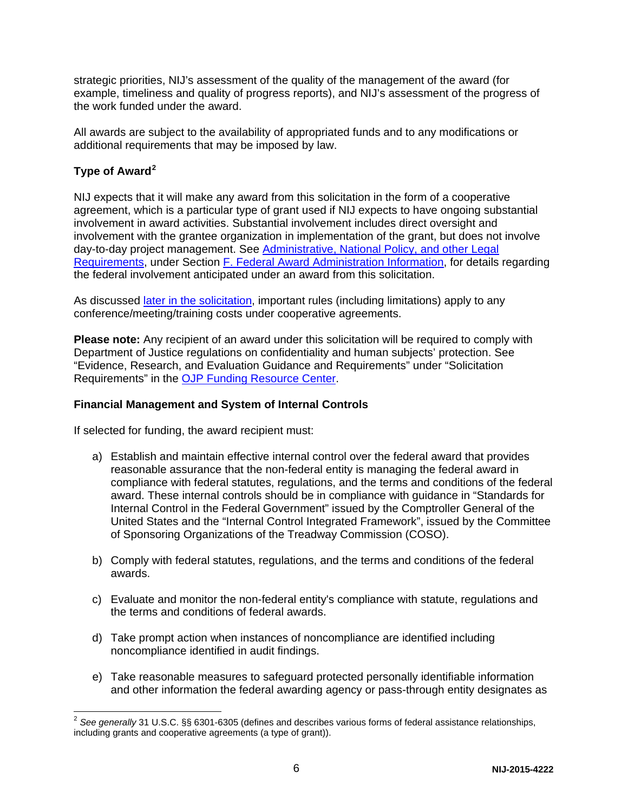strategic priorities, NIJ's assessment of the quality of the management of the award (for example, timeliness and quality of progress reports), and NIJ's assessment of the progress of the work funded under the award.

All awards are subject to the availability of appropriated funds and to any modifications or additional requirements that may be imposed by law.

## <span id="page-5-0"></span>**Type of Award[2](#page-5-2)**

 $\overline{a}$ 

NIJ expects that it will make any award from this solicitation in the form of a cooperative agreement, which is a particular type of grant used if NIJ expects to have ongoing substantial involvement in award activities. Substantial involvement includes direct oversight and involvement with the grantee organization in implementation of the grant, but does not involve day-to-day project management. See [Administrative, National Policy, and other Legal](#page-24-2)  [Requirements,](#page-24-2) under Section [F. Federal Award Administration Information,](#page-24-0) for details regarding the federal involvement anticipated under an award from this solicitation.

As discussed [later in the solicitation,](#page-7-1) important rules (including limitations) apply to any conference/meeting/training costs under cooperative agreements.

**Please note:** Any recipient of an award under this solicitation will be required to comply with Department of Justice regulations on confidentiality and human subjects' protection. See "Evidence, Research, and Evaluation Guidance and Requirements" under "Solicitation Requirements" in the [OJP Funding Resource Center.](http://ojp.gov/funding/index.htm)

### <span id="page-5-1"></span>**Financial Management and System of Internal Controls**

If selected for funding, the award recipient must:

- a) Establish and maintain effective internal control over the federal award that provides reasonable assurance that the non-federal entity is managing the federal award in compliance with federal statutes, regulations, and the terms and conditions of the federal award. These internal controls should be in compliance with guidance in "Standards for Internal Control in the Federal Government" issued by the Comptroller General of the United States and the "Internal Control Integrated Framework", issued by the Committee of Sponsoring Organizations of the Treadway Commission (COSO).
- b) Comply with federal statutes, regulations, and the terms and conditions of the federal awards.
- c) Evaluate and monitor the non-federal entity's compliance with statute, regulations and the terms and conditions of federal awards.
- d) Take prompt action when instances of noncompliance are identified including noncompliance identified in audit findings.
- e) Take reasonable measures to safeguard protected personally identifiable information and other information the federal awarding agency or pass-through entity designates as

<span id="page-5-2"></span><sup>2</sup> *See generally* 31 U.S.C. §§ 6301-6305 (defines and describes various forms of federal assistance relationships, including grants and cooperative agreements (a type of grant)).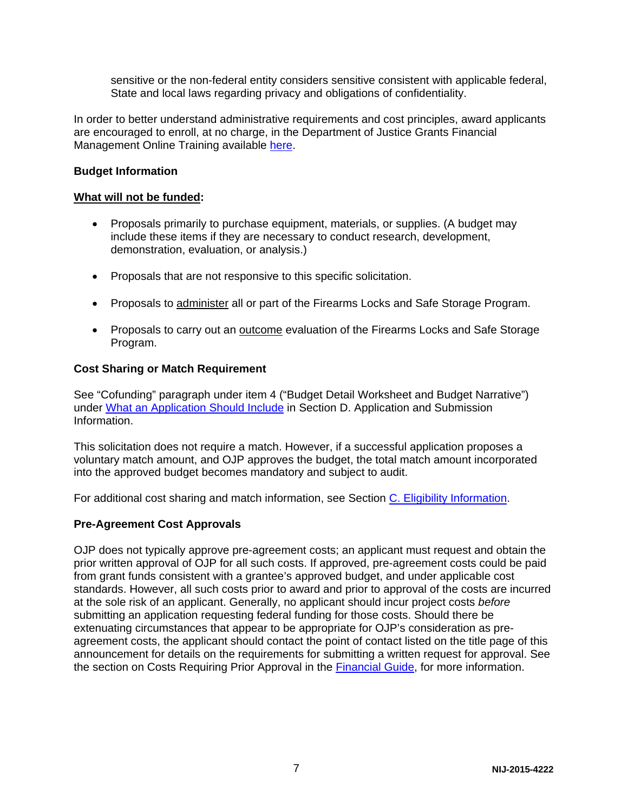sensitive or the non-federal entity considers sensitive consistent with applicable federal, State and local laws regarding privacy and obligations of confidentiality.

In order to better understand administrative requirements and cost principles, award applicants are encouraged to enroll, at no charge, in the Department of Justice Grants Financial Management Online Training available [here.](http://gfm.webfirst.com/)

#### <span id="page-6-0"></span>**Budget Information**

#### **What will not be funded:**

- Proposals primarily to purchase equipment, materials, or supplies. (A budget may include these items if they are necessary to conduct research, development, demonstration, evaluation, or analysis.)
- Proposals that are not responsive to this specific solicitation.
- Proposals to administer all or part of the Firearms Locks and Safe Storage Program.
- Proposals to carry out an outcome evaluation of the Firearms Locks and Safe Storage Program.

#### <span id="page-6-1"></span>**Cost Sharing or Match Requirement**

See "Cofunding" paragraph under item 4 ("Budget Detail Worksheet and Budget Narrative") under [What an Application Should Include](#page-8-4) in Section D. Application and Submission Information.

This solicitation does not require a match. However, if a successful application proposes a voluntary match amount, and OJP approves the budget, the total match amount incorporated into the approved budget becomes mandatory and subject to audit.

For additional cost sharing and match information, see Section [C. Eligibility Information.](#page-8-0)

#### <span id="page-6-2"></span>**Pre-Agreement Cost Approvals**

OJP does not typically approve pre-agreement costs; an applicant must request and obtain the prior written approval of OJP for all such costs. If approved, pre-agreement costs could be paid from grant funds consistent with a grantee's approved budget, and under applicable cost standards. However, all such costs prior to award and prior to approval of the costs are incurred at the sole risk of an applicant. Generally, no applicant should incur project costs *before* submitting an application requesting federal funding for those costs. Should there be extenuating circumstances that appear to be appropriate for OJP's consideration as preagreement costs, the applicant should contact the point of contact listed on the title page of this announcement for details on the requirements for submitting a written request for approval. See the section on Costs Requiring Prior Approval in the [Financial Guide,](http://ojp.gov/financialguide/index.htm) for more information.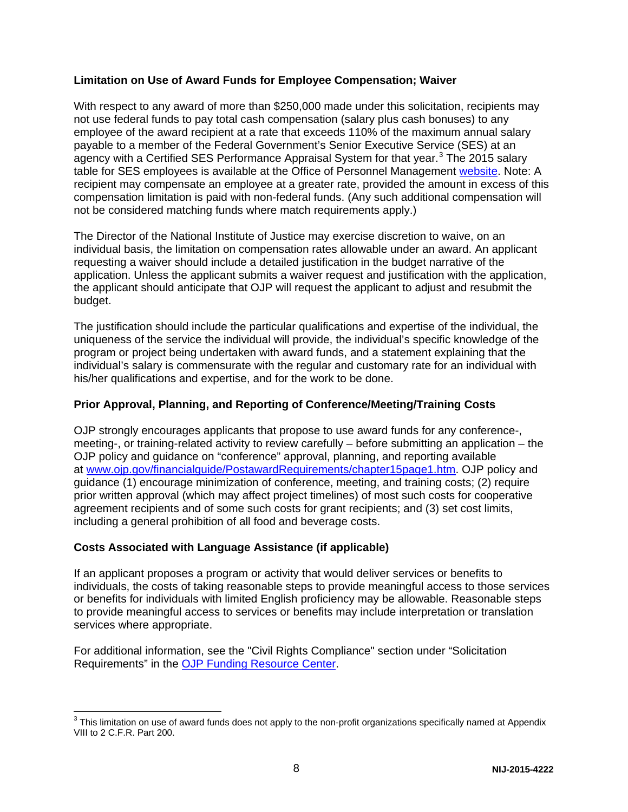#### <span id="page-7-0"></span>**Limitation on Use of Award Funds for Employee Compensation; Waiver**

With respect to any award of more than \$250,000 made under this solicitation, recipients may not use federal funds to pay total cash compensation (salary plus cash bonuses) to any employee of the award recipient at a rate that exceeds 110% of the maximum annual salary payable to a member of the Federal Government's Senior Executive Service (SES) at an agency with a Certified SES Performance Appraisal System for that year.<sup>[3](#page-7-3)</sup> The 2015 salary table for SES employees is available at the Office of Personnel Management [website.](http://www.opm.gov/policy-data-oversight/pay-leave/salaries-wages/salary-tables/15Tables/exec/html/ES.aspx) Note: A recipient may compensate an employee at a greater rate, provided the amount in excess of this compensation limitation is paid with non-federal funds. (Any such additional compensation will not be considered matching funds where match requirements apply.)

The Director of the National Institute of Justice may exercise discretion to waive, on an individual basis, the limitation on compensation rates allowable under an award. An applicant requesting a waiver should include a detailed justification in the budget narrative of the application. Unless the applicant submits a waiver request and justification with the application, the applicant should anticipate that OJP will request the applicant to adjust and resubmit the budget.

The justification should include the particular qualifications and expertise of the individual, the uniqueness of the service the individual will provide, the individual's specific knowledge of the program or project being undertaken with award funds, and a statement explaining that the individual's salary is commensurate with the regular and customary rate for an individual with his/her qualifications and expertise, and for the work to be done.

### <span id="page-7-1"></span>**Prior Approval, Planning, and Reporting of Conference/Meeting/Training Costs**

OJP strongly encourages applicants that propose to use award funds for any conference-, meeting-, or training-related activity to review carefully – before submitting an application – the OJP policy and guidance on "conference" approval, planning, and reporting available at [www.ojp.gov/financialguide/PostawardRequirements/chapter15page1.htm.](http://www.ojp.gov/financialguide/PostawardRequirements/chapter15page1.htm) OJP policy and guidance (1) encourage minimization of conference, meeting, and training costs; (2) require prior written approval (which may affect project timelines) of most such costs for cooperative agreement recipients and of some such costs for grant recipients; and (3) set cost limits, including a general prohibition of all food and beverage costs.

#### <span id="page-7-2"></span>**Costs Associated with Language Assistance (if applicable)**

If an applicant proposes a program or activity that would deliver services or benefits to individuals, the costs of taking reasonable steps to provide meaningful access to those services or benefits for individuals with limited English proficiency may be allowable. Reasonable steps to provide meaningful access to services or benefits may include interpretation or translation services where appropriate.

For additional information, see the "Civil Rights Compliance" section under "Solicitation Requirements" in the [OJP Funding Resource Center.](http://ojp.gov/funding/index.htm)

<span id="page-7-3"></span> $^3$  This limitation on use of award funds does not apply to the non-profit organizations specifically named at Appendix VIII to 2 C.F.R. Part 200.  $\overline{a}$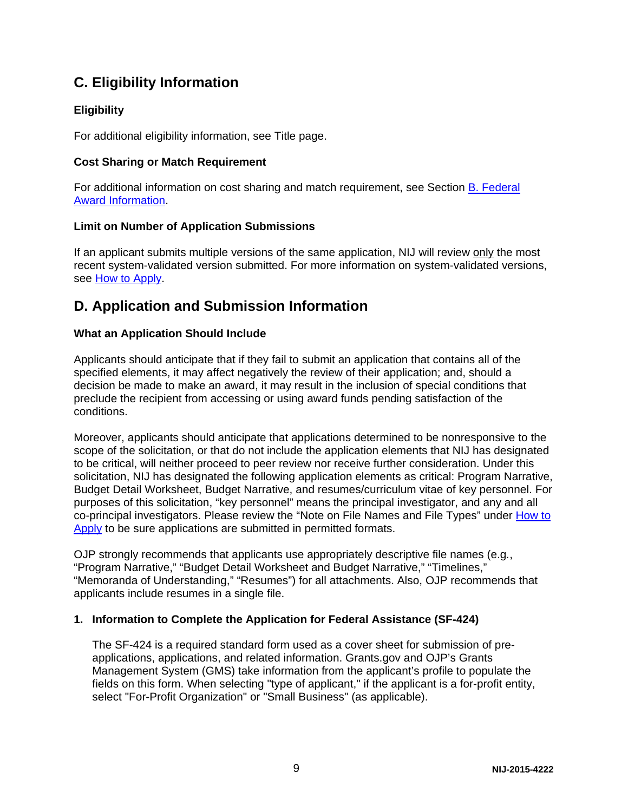## <span id="page-8-0"></span>**C. Eligibility Information**

## **Eligibility**

For additional eligibility information, see Title page.

### <span id="page-8-1"></span>**Cost Sharing or Match Requirement**

For additional information on cost sharing and match requirement, see Section [B. Federal](#page-4-1)  [Award Information.](#page-4-1)

## <span id="page-8-2"></span>**Limit on Number of Application Submissions**

If an applicant submits multiple versions of the same application, NIJ will review only the most recent system-validated version submitted. For more information on system-validated versions, see [How to Apply.](#page-18-0)

## <span id="page-8-3"></span>**D. Application and Submission Information**

## <span id="page-8-4"></span>**What an Application Should Include**

Applicants should anticipate that if they fail to submit an application that contains all of the specified elements, it may affect negatively the review of their application; and, should a decision be made to make an award, it may result in the inclusion of special conditions that preclude the recipient from accessing or using award funds pending satisfaction of the conditions.

Moreover, applicants should anticipate that applications determined to be nonresponsive to the scope of the solicitation, or that do not include the application elements that NIJ has designated to be critical, will neither proceed to peer review nor receive further consideration. Under this solicitation, NIJ has designated the following application elements as critical: Program Narrative, Budget Detail Worksheet, Budget Narrative, and resumes/curriculum vitae of key personnel. For purposes of this solicitation, "key personnel" means the principal investigator, and any and all co-principal investigators. Please review the "Note on File Names and File Types" under [How to](#page-18-0)  [Apply](#page-18-0) to be sure applications are submitted in permitted formats.

OJP strongly recommends that applicants use appropriately descriptive file names (e.g*.*, "Program Narrative," "Budget Detail Worksheet and Budget Narrative," "Timelines," "Memoranda of Understanding," "Resumes") for all attachments. Also, OJP recommends that applicants include resumes in a single file.

### **1. Information to Complete the Application for Federal Assistance (SF-424)**

The SF-424 is a required standard form used as a cover sheet for submission of preapplications, applications, and related information. Grants.gov and OJP's Grants Management System (GMS) take information from the applicant's profile to populate the fields on this form. When selecting "type of applicant," if the applicant is a for-profit entity, select "For-Profit Organization" or "Small Business" (as applicable).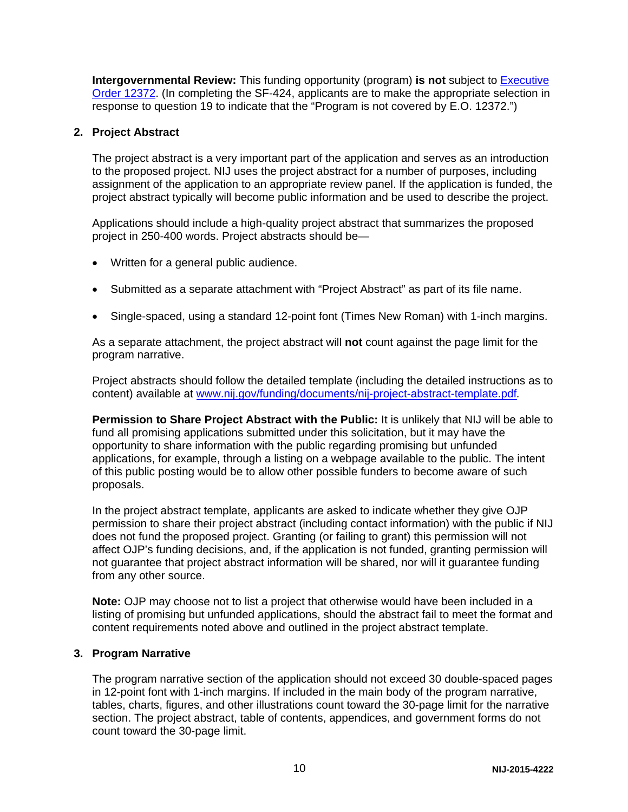**Intergovernmental Review:** This funding opportunity (program) **is not** subject to [Executive](http://www.archives.gov/federal-register/codification/executive-order/12372.html)  [Order 12372.](http://www.archives.gov/federal-register/codification/executive-order/12372.html) (In completing the SF-424, applicants are to make the appropriate selection in response to question 19 to indicate that the "Program is not covered by E.O. 12372.")

#### **2. Project Abstract**

The project abstract is a very important part of the application and serves as an introduction to the proposed project. NIJ uses the project abstract for a number of purposes, including assignment of the application to an appropriate review panel. If the application is funded, the project abstract typically will become public information and be used to describe the project.

Applications should include a high-quality project abstract that summarizes the proposed project in 250-400 words. Project abstracts should be—

- Written for a general public audience.
- Submitted as a separate attachment with "Project Abstract" as part of its file name.
- Single-spaced, using a standard 12-point font (Times New Roman) with 1-inch margins.

As a separate attachment, the project abstract will **not** count against the page limit for the program narrative.

Project abstracts should follow the detailed template (including the detailed instructions as to content) available at [www.nij.gov/funding/documents/nij-project-abstract-template.pdf](http://nij.gov/funding/documents/nij-project-abstract-template.pdf)*.*

**Permission to Share Project Abstract with the Public:** It is unlikely that NIJ will be able to fund all promising applications submitted under this solicitation, but it may have the opportunity to share information with the public regarding promising but unfunded applications, for example, through a listing on a webpage available to the public. The intent of this public posting would be to allow other possible funders to become aware of such proposals.

In the project abstract template, applicants are asked to indicate whether they give OJP permission to share their project abstract (including contact information) with the public if NIJ does not fund the proposed project. Granting (or failing to grant) this permission will not affect OJP's funding decisions, and, if the application is not funded, granting permission will not guarantee that project abstract information will be shared, nor will it guarantee funding from any other source.

**Note:** OJP may choose not to list a project that otherwise would have been included in a listing of promising but unfunded applications, should the abstract fail to meet the format and content requirements noted above and outlined in the project abstract template.

#### **3. Program Narrative**

The program narrative section of the application should not exceed 30 double-spaced pages in 12-point font with 1-inch margins. If included in the main body of the program narrative, tables, charts, figures, and other illustrations count toward the 30-page limit for the narrative section. The project abstract, table of contents, appendices, and government forms do not count toward the 30-page limit.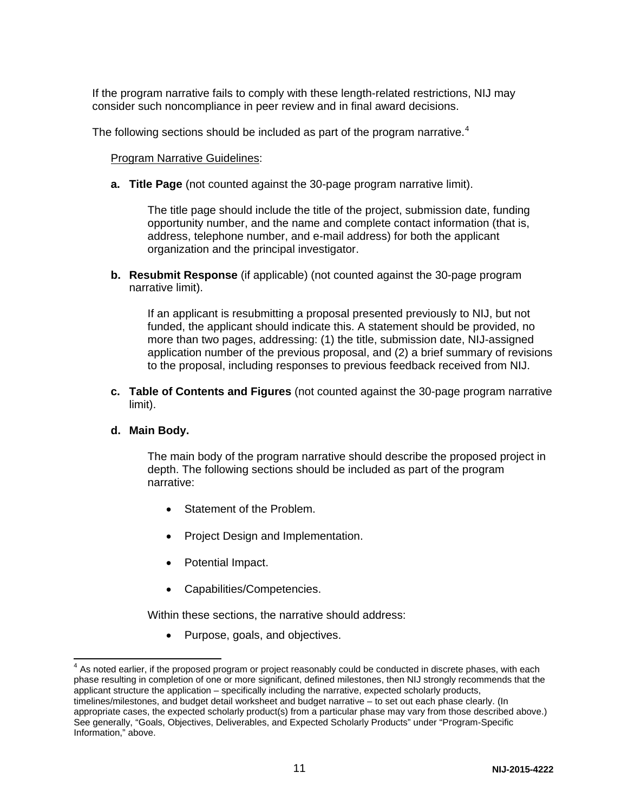If the program narrative fails to comply with these length-related restrictions, NIJ may consider such noncompliance in peer review and in final award decisions.

The following sections should be included as part of the program narrative.<sup>[4](#page-10-0)</sup>

Program Narrative Guidelines:

**a. Title Page** (not counted against the 30-page program narrative limit).

The title page should include the title of the project, submission date, funding opportunity number, and the name and complete contact information (that is, address, telephone number, and e-mail address) for both the applicant organization and the principal investigator.

**b. Resubmit Response** (if applicable) (not counted against the 30-page program narrative limit).

If an applicant is resubmitting a proposal presented previously to NIJ, but not funded, the applicant should indicate this. A statement should be provided, no more than two pages, addressing: (1) the title, submission date, NIJ-assigned application number of the previous proposal, and (2) a brief summary of revisions to the proposal, including responses to previous feedback received from NIJ.

**c. Table of Contents and Figures** (not counted against the 30-page program narrative limit).

#### **d. Main Body.**

The main body of the program narrative should describe the proposed project in depth. The following sections should be included as part of the program narrative:

- Statement of the Problem.
- Project Design and Implementation.
- Potential Impact.
- Capabilities/Competencies.

Within these sections, the narrative should address:

• Purpose, goals, and objectives.

<span id="page-10-0"></span> $4$  As noted earlier, if the proposed program or project reasonably could be conducted in discrete phases, with each phase resulting in completion of one or more significant, defined milestones, then NIJ strongly recommends that the applicant structure the application – specifically including the narrative, expected scholarly products, timelines/milestones, and budget detail worksheet and budget narrative – to set out each phase clearly. (In appropriate cases, the expected scholarly product(s) from a particular phase may vary from those described above.) See generally, "Goals, Objectives, Deliverables, and Expected Scholarly Products" under "Program-Specific Information," above.  $\overline{\phantom{a}}$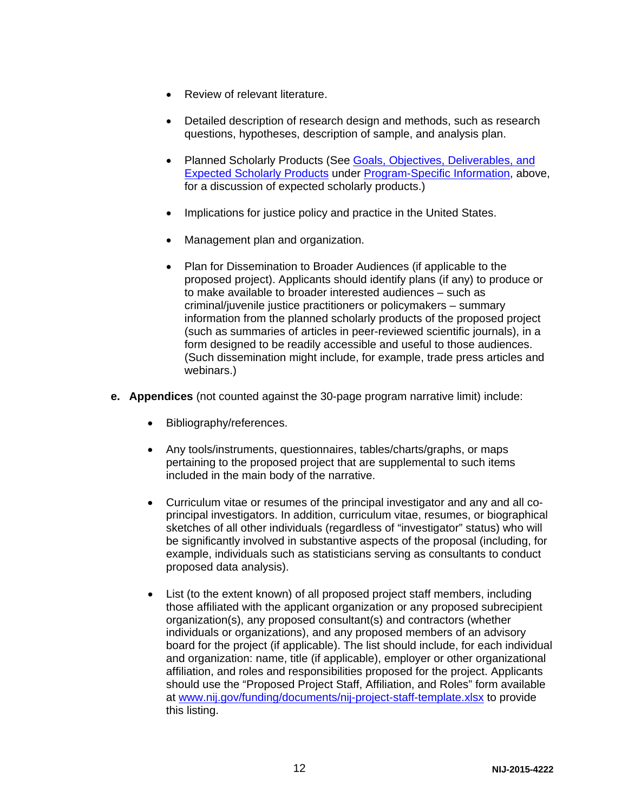- Review of relevant literature.
- Detailed description of research design and methods, such as research questions, hypotheses, description of sample, and analysis plan.
- Planned Scholarly Products (See [Goals, Objectives, Deliverables, and](#page-4-0)  [Expected Scholarly Products](#page-4-0) under [Program-Specific Information,](#page-3-2) above, for a discussion of expected scholarly products.)
- Implications for justice policy and practice in the United States.
- Management plan and organization.
- Plan for Dissemination to Broader Audiences (if applicable to the proposed project). Applicants should identify plans (if any) to produce or to make available to broader interested audiences – such as criminal/juvenile justice practitioners or policymakers – summary information from the planned scholarly products of the proposed project (such as summaries of articles in peer-reviewed scientific journals), in a form designed to be readily accessible and useful to those audiences. (Such dissemination might include, for example, trade press articles and webinars.)
- **e. Appendices** (not counted against the 30-page program narrative limit) include:
	- Bibliography/references.
	- Any tools/instruments, questionnaires, tables/charts/graphs, or maps pertaining to the proposed project that are supplemental to such items included in the main body of the narrative.
	- Curriculum vitae or resumes of the principal investigator and any and all coprincipal investigators. In addition, curriculum vitae, resumes, or biographical sketches of all other individuals (regardless of "investigator" status) who will be significantly involved in substantive aspects of the proposal (including, for example, individuals such as statisticians serving as consultants to conduct proposed data analysis).
	- List (to the extent known) of all proposed project staff members, including those affiliated with the applicant organization or any proposed subrecipient organization(s), any proposed consultant(s) and contractors (whether individuals or organizations), and any proposed members of an advisory board for the project (if applicable). The list should include, for each individual and organization: name, title (if applicable), employer or other organizational affiliation, and roles and responsibilities proposed for the project. Applicants should use the "Proposed Project Staff, Affiliation, and Roles" form available at [www.nij.gov/funding/documents/nij-project-staff-template.xlsx](http://www.nij.gov/funding/documents/nij-project-staff-template.xlsx) to provide this listing.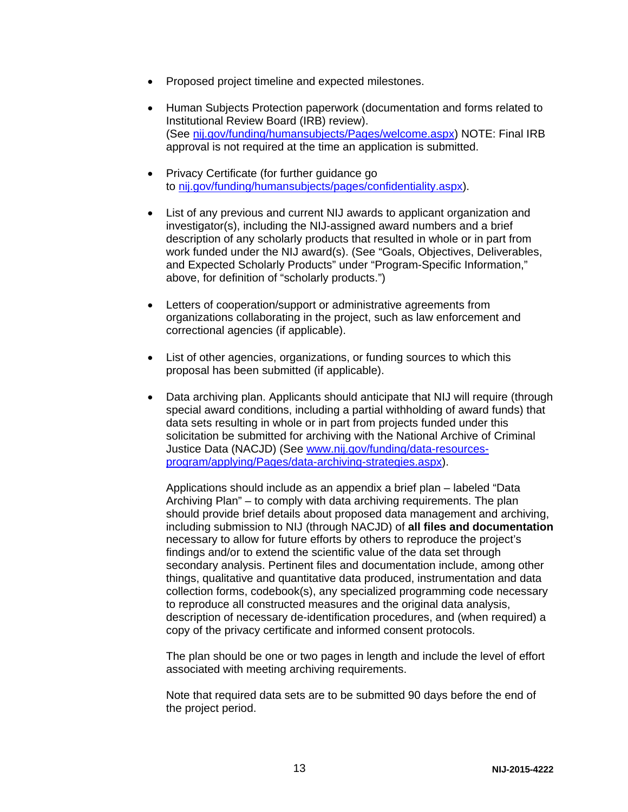- Proposed project timeline and expected milestones.
- Human Subjects Protection paperwork (documentation and forms related to Institutional Review Board (IRB) review). (See [nij.gov/funding/humansubjects/Pages/welcome.aspx\)](http://nij.gov/funding/humansubjects/Pages/welcome.aspx) NOTE: Final IRB approval is not required at the time an application is submitted.
- Privacy Certificate (for further guidance go to [nij.gov/funding/humansubjects/pages/confidentiality.aspx\)](http://nij.gov/funding/humansubjects/pages/confidentiality.aspx).
- List of any previous and current NIJ awards to applicant organization and investigator(s), including the NIJ-assigned award numbers and a brief description of any scholarly products that resulted in whole or in part from work funded under the NIJ award(s). (See "Goals, Objectives, Deliverables, and Expected Scholarly Products" under "Program-Specific Information," above, for definition of "scholarly products.")
- Letters of cooperation/support or administrative agreements from organizations collaborating in the project, such as law enforcement and correctional agencies (if applicable).
- List of other agencies, organizations, or funding sources to which this proposal has been submitted (if applicable).
- Data archiving plan. Applicants should anticipate that NIJ will require (through special award conditions, including a partial withholding of award funds) that data sets resulting in whole or in part from projects funded under this solicitation be submitted for archiving with the National Archive of Criminal Justice Data (NACJD) (See [www.nij.gov/funding/data-resources](http://www.nij.gov/funding/data-resources-program/applying/Pages/data-archiving-strategies.aspx)[program/applying/Pages/data-archiving-strategies.aspx\)](http://www.nij.gov/funding/data-resources-program/applying/Pages/data-archiving-strategies.aspx).

Applications should include as an appendix a brief plan – labeled "Data Archiving Plan" – to comply with data archiving requirements. The plan should provide brief details about proposed data management and archiving, including submission to NIJ (through NACJD) of **all files and documentation** necessary to allow for future efforts by others to reproduce the project's findings and/or to extend the scientific value of the data set through secondary analysis. Pertinent files and documentation include, among other things, qualitative and quantitative data produced, instrumentation and data collection forms, codebook(s), any specialized programming code necessary to reproduce all constructed measures and the original data analysis, description of necessary de-identification procedures, and (when required) a copy of the privacy certificate and informed consent protocols.

The plan should be one or two pages in length and include the level of effort associated with meeting archiving requirements.

Note that required data sets are to be submitted 90 days before the end of the project period.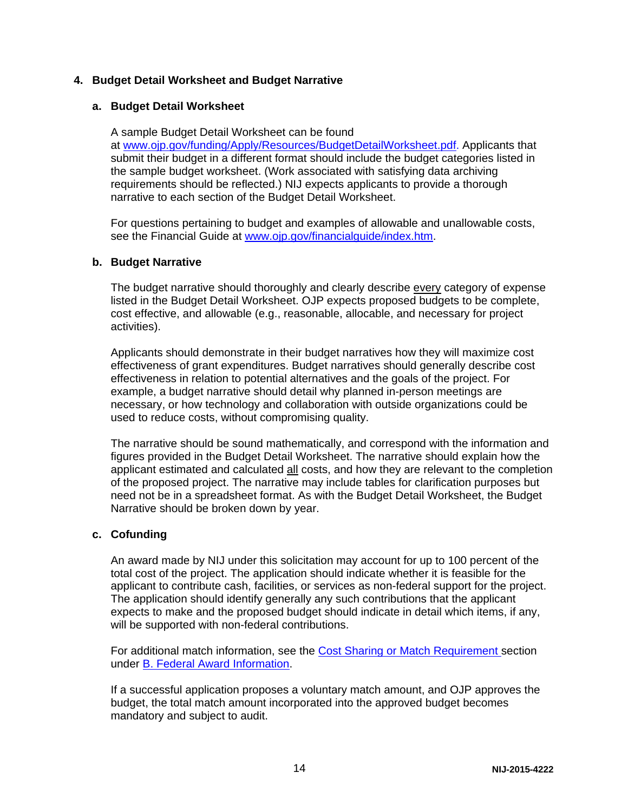### **4. Budget Detail Worksheet and Budget Narrative**

#### **a. Budget Detail Worksheet**

A sample Budget Detail Worksheet can be found at [www.ojp.gov/funding/Apply/Resources/BudgetDetailWorksheet.pdf.](http://ojp.gov/funding/Apply/Resources/BudgetDetailWorksheet.pdf) Applicants that submit their budget in a different format should include the budget categories listed in the sample budget worksheet. (Work associated with satisfying data archiving requirements should be reflected.) NIJ expects applicants to provide a thorough narrative to each section of the Budget Detail Worksheet.

For questions pertaining to budget and examples of allowable and unallowable costs, see the Financial Guide at [www.ojp.gov/financialguide/index.htm.](http://www.ojp.gov/financialguide/index.htm)

#### **b. Budget Narrative**

The budget narrative should thoroughly and clearly describe every category of expense listed in the Budget Detail Worksheet. OJP expects proposed budgets to be complete, cost effective, and allowable (e.g., reasonable, allocable, and necessary for project activities).

Applicants should demonstrate in their budget narratives how they will maximize cost effectiveness of grant expenditures. Budget narratives should generally describe cost effectiveness in relation to potential alternatives and the goals of the project. For example, a budget narrative should detail why planned in-person meetings are necessary, or how technology and collaboration with outside organizations could be used to reduce costs, without compromising quality.

The narrative should be sound mathematically, and correspond with the information and figures provided in the Budget Detail Worksheet. The narrative should explain how the applicant estimated and calculated all costs, and how they are relevant to the completion of the proposed project. The narrative may include tables for clarification purposes but need not be in a spreadsheet format. As with the Budget Detail Worksheet, the Budget Narrative should be broken down by year.

#### **c. Cofunding**

An award made by NIJ under this solicitation may account for up to 100 percent of the total cost of the project. The application should indicate whether it is feasible for the applicant to contribute cash, facilities, or services as non-federal support for the project. The application should identify generally any such contributions that the applicant expects to make and the proposed budget should indicate in detail which items, if any, will be supported with non-federal contributions.

For additional match information, see the [Cost Sharing or Match Requirement](#page-6-1) section under [B. Federal Award Information.](#page-4-1)

If a successful application proposes a voluntary match amount, and OJP approves the budget, the total match amount incorporated into the approved budget becomes mandatory and subject to audit.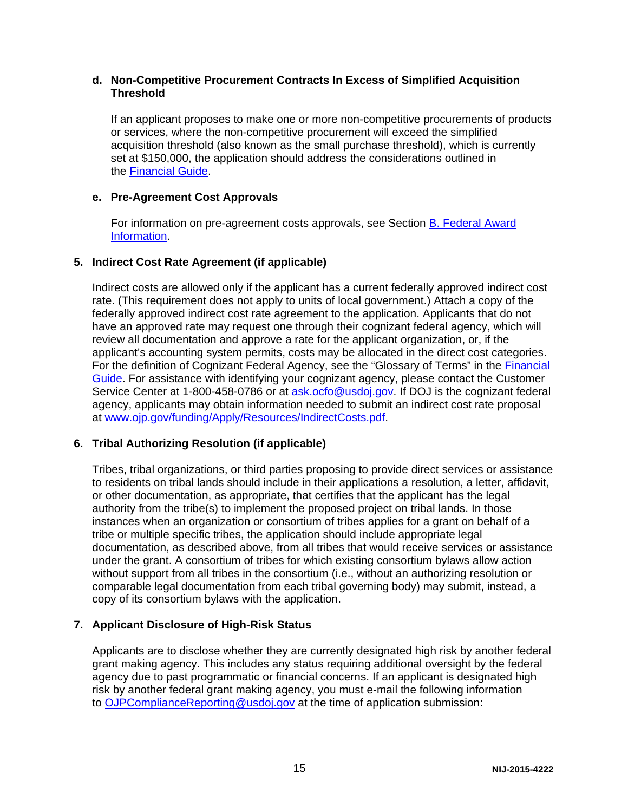#### **d. Non-Competitive Procurement Contracts In Excess of Simplified Acquisition Threshold**

If an applicant proposes to make one or more non-competitive procurements of products or services, where the non-competitive procurement will exceed the simplified acquisition threshold (also known as the small purchase threshold), which is currently set at \$150,000, the application should address the considerations outlined in the [Financial Guide.](http://ojp.gov/financialguide/index.htm)

### **e. Pre-Agreement Cost Approvals**

For information on pre-agreement costs approvals, see Section [B. Federal Award](#page-4-1)  [Information.](#page-4-1)

## **5. Indirect Cost Rate Agreement (if applicable)**

Indirect costs are allowed only if the applicant has a current federally approved indirect cost rate. (This requirement does not apply to units of local government.) Attach a copy of the federally approved indirect cost rate agreement to the application. Applicants that do not have an approved rate may request one through their cognizant federal agency, which will review all documentation and approve a rate for the applicant organization, or, if the applicant's accounting system permits, costs may be allocated in the direct cost categories. For the definition of Cognizant Federal Agency, see the "Glossary of Terms" in the [Financial](http://ojp.gov/financialguide/index.htm)  [Guide.](http://ojp.gov/financialguide/index.htm) For assistance with identifying your cognizant agency, please contact the Customer Service Center at 1-800-458-0786 or at [ask.ocfo@usdoj.gov.](mailto:ask.ocfo@usdoj.gov) If DOJ is the cognizant federal agency, applicants may obtain information needed to submit an indirect cost rate proposal at [www.ojp.gov/funding/Apply/Resources/IndirectCosts.pdf.](http://www.ojp.gov/funding/Apply/Resources/IndirectCosts.pdf)

## **6. Tribal Authorizing Resolution (if applicable)**

Tribes, tribal organizations, or third parties proposing to provide direct services or assistance to residents on tribal lands should include in their applications a resolution, a letter, affidavit, or other documentation, as appropriate, that certifies that the applicant has the legal authority from the tribe(s) to implement the proposed project on tribal lands. In those instances when an organization or consortium of tribes applies for a grant on behalf of a tribe or multiple specific tribes, the application should include appropriate legal documentation, as described above, from all tribes that would receive services or assistance under the grant. A consortium of tribes for which existing consortium bylaws allow action without support from all tribes in the consortium (i.e., without an authorizing resolution or comparable legal documentation from each tribal governing body) may submit, instead, a copy of its consortium bylaws with the application.

### **7. Applicant Disclosure of High-Risk Status**

Applicants are to disclose whether they are currently designated high risk by another federal grant making agency. This includes any status requiring additional oversight by the federal agency due to past programmatic or financial concerns. If an applicant is designated high risk by another federal grant making agency, you must e-mail the following information to [OJPComplianceReporting@usdoj.gov](mailto:OJPComplianceReporting@usdoj.gov) at the time of application submission: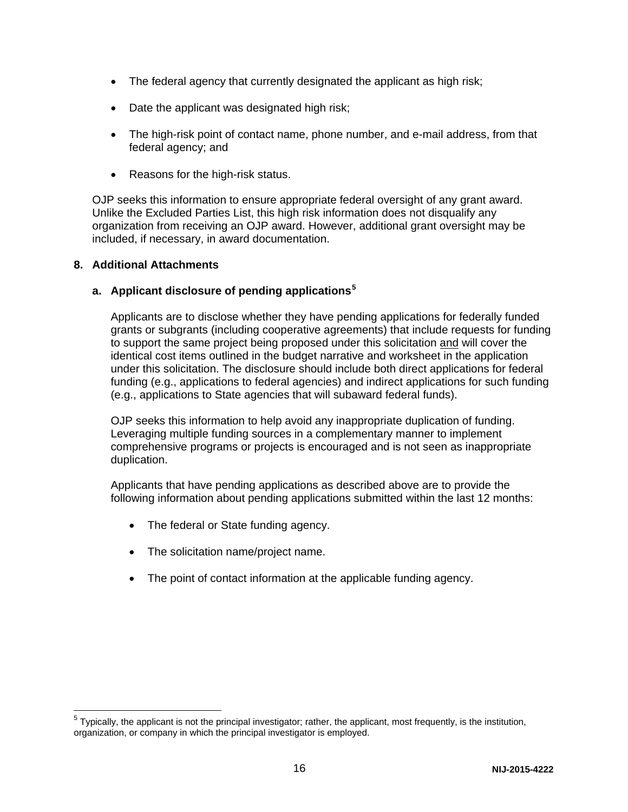- The federal agency that currently designated the applicant as high risk;
- Date the applicant was designated high risk;
- The high-risk point of contact name, phone number, and e-mail address, from that federal agency; and
- Reasons for the high-risk status.

OJP seeks this information to ensure appropriate federal oversight of any grant award. Unlike the Excluded Parties List, this high risk information does not disqualify any organization from receiving an OJP award. However, additional grant oversight may be included, if necessary, in award documentation.

### **8. Additional Attachments**

### **a. Applicant disclosure of pending applications[5](#page-15-0)**

Applicants are to disclose whether they have pending applications for federally funded grants or subgrants (including cooperative agreements) that include requests for funding to support the same project being proposed under this solicitation and will cover the identical cost items outlined in the budget narrative and worksheet in the application under this solicitation. The disclosure should include both direct applications for federal funding (e.g., applications to federal agencies) and indirect applications for such funding (e.g., applications to State agencies that will subaward federal funds).

OJP seeks this information to help avoid any inappropriate duplication of funding. Leveraging multiple funding sources in a complementary manner to implement comprehensive programs or projects is encouraged and is not seen as inappropriate duplication.

Applicants that have pending applications as described above are to provide the following information about pending applications submitted within the last 12 months:

- The federal or State funding agency.
- The solicitation name/project name.
- The point of contact information at the applicable funding agency.

<span id="page-15-0"></span> $5$  Typically, the applicant is not the principal investigator; rather, the applicant, most frequently, is the institution, organization, or company in which the principal investigator is employed.  $\overline{a}$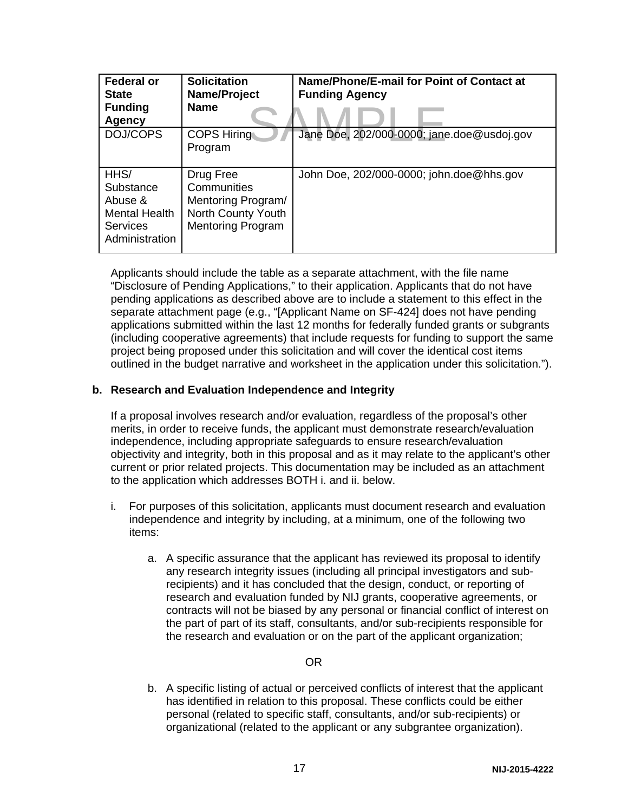| <b>Federal or</b><br><b>State</b><br><b>Funding</b><br><b>Agency</b>                      | <b>Solicitation</b><br>Name/Project<br><b>Name</b>                                               | Name/Phone/E-mail for Point of Contact at<br><b>Funding Agency</b> |
|-------------------------------------------------------------------------------------------|--------------------------------------------------------------------------------------------------|--------------------------------------------------------------------|
| DOJ/COPS                                                                                  | <b>COPS Hiring</b><br>Program                                                                    | Jane Doe, 202/000-0000; jane.doe@usdoj.gov                         |
| HHS/<br>Substance<br>Abuse &<br><b>Mental Health</b><br><b>Services</b><br>Administration | Drug Free<br>Communities<br>Mentoring Program/<br>North County Youth<br><b>Mentoring Program</b> | John Doe, 202/000-0000; john.doe@hhs.gov                           |

Applicants should include the table as a separate attachment, with the file name "Disclosure of Pending Applications," to their application. Applicants that do not have pending applications as described above are to include a statement to this effect in the separate attachment page (e.g., "[Applicant Name on SF-424] does not have pending applications submitted within the last 12 months for federally funded grants or subgrants (including cooperative agreements) that include requests for funding to support the same project being proposed under this solicitation and will cover the identical cost items outlined in the budget narrative and worksheet in the application under this solicitation.").

### **b. Research and Evaluation Independence and Integrity**

If a proposal involves research and/or evaluation, regardless of the proposal's other merits, in order to receive funds, the applicant must demonstrate research/evaluation independence, including appropriate safeguards to ensure research/evaluation objectivity and integrity, both in this proposal and as it may relate to the applicant's other current or prior related projects. This documentation may be included as an attachment to the application which addresses BOTH i. and ii. below.

- i. For purposes of this solicitation, applicants must document research and evaluation independence and integrity by including, at a minimum, one of the following two items:
	- a. A specific assurance that the applicant has reviewed its proposal to identify any research integrity issues (including all principal investigators and subrecipients) and it has concluded that the design, conduct, or reporting of research and evaluation funded by NIJ grants, cooperative agreements, or contracts will not be biased by any personal or financial conflict of interest on the part of part of its staff, consultants, and/or sub-recipients responsible for the research and evaluation or on the part of the applicant organization;

#### OR

b. A specific listing of actual or perceived conflicts of interest that the applicant has identified in relation to this proposal. These conflicts could be either personal (related to specific staff, consultants, and/or sub-recipients) or organizational (related to the applicant or any subgrantee organization).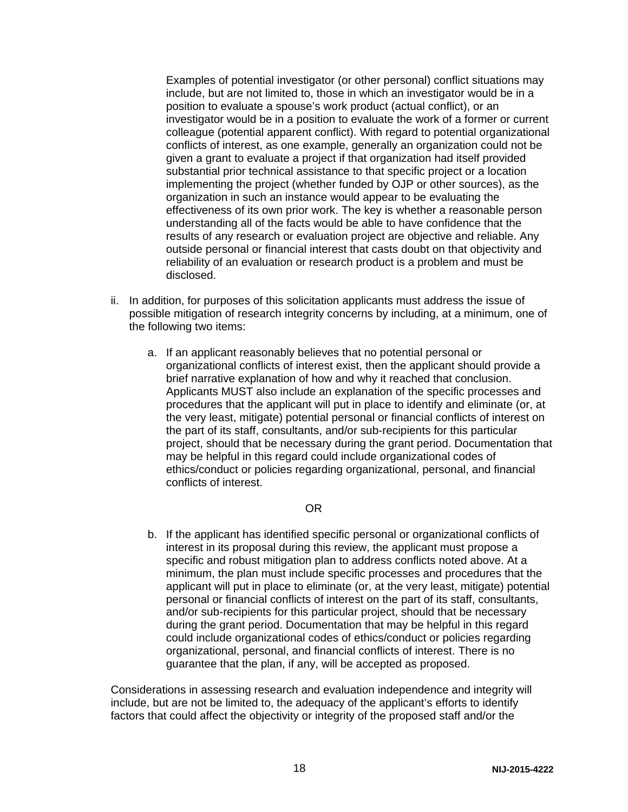Examples of potential investigator (or other personal) conflict situations may include, but are not limited to, those in which an investigator would be in a position to evaluate a spouse's work product (actual conflict), or an investigator would be in a position to evaluate the work of a former or current colleague (potential apparent conflict). With regard to potential organizational conflicts of interest, as one example, generally an organization could not be given a grant to evaluate a project if that organization had itself provided substantial prior technical assistance to that specific project or a location implementing the project (whether funded by OJP or other sources), as the organization in such an instance would appear to be evaluating the effectiveness of its own prior work. The key is whether a reasonable person understanding all of the facts would be able to have confidence that the results of any research or evaluation project are objective and reliable. Any outside personal or financial interest that casts doubt on that objectivity and reliability of an evaluation or research product is a problem and must be disclosed.

- ii. In addition, for purposes of this solicitation applicants must address the issue of possible mitigation of research integrity concerns by including, at a minimum, one of the following two items:
	- a. If an applicant reasonably believes that no potential personal or organizational conflicts of interest exist, then the applicant should provide a brief narrative explanation of how and why it reached that conclusion. Applicants MUST also include an explanation of the specific processes and procedures that the applicant will put in place to identify and eliminate (or, at the very least, mitigate) potential personal or financial conflicts of interest on the part of its staff, consultants, and/or sub-recipients for this particular project, should that be necessary during the grant period. Documentation that may be helpful in this regard could include organizational codes of ethics/conduct or policies regarding organizational, personal, and financial conflicts of interest.

### OR

b. If the applicant has identified specific personal or organizational conflicts of interest in its proposal during this review, the applicant must propose a specific and robust mitigation plan to address conflicts noted above. At a minimum, the plan must include specific processes and procedures that the applicant will put in place to eliminate (or, at the very least, mitigate) potential personal or financial conflicts of interest on the part of its staff, consultants, and/or sub-recipients for this particular project, should that be necessary during the grant period. Documentation that may be helpful in this regard could include organizational codes of ethics/conduct or policies regarding organizational, personal, and financial conflicts of interest. There is no guarantee that the plan, if any, will be accepted as proposed.

Considerations in assessing research and evaluation independence and integrity will include, but are not be limited to, the adequacy of the applicant's efforts to identify factors that could affect the objectivity or integrity of the proposed staff and/or the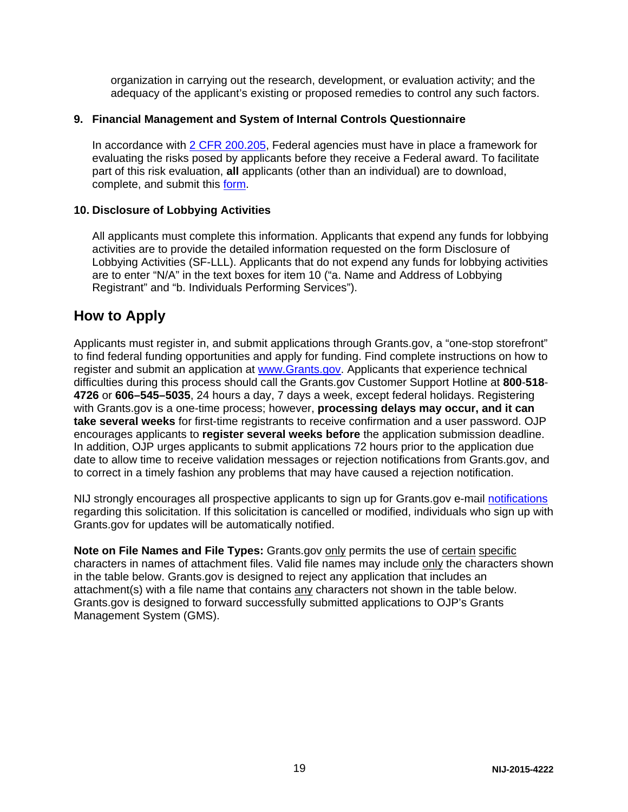organization in carrying out the research, development, or evaluation activity; and the adequacy of the applicant's existing or proposed remedies to control any such factors.

#### **9. Financial Management and System of Internal Controls Questionnaire**

In accordance with [2 CFR 200.205,](http://www.ecfr.gov/cgi-bin/text-idx?SID=2ebfb13012953333f32ed4cf1411e33e&node=pt2.1.200&rgn=div5%23se2.1.200_1205) Federal agencies must have in place a framework for evaluating the risks posed by applicants before they receive a Federal award. To facilitate part of this risk evaluation, **all** applicants (other than an individual) are to download, complete, and submit this [form.](http://ojp.gov/funding/Apply/Resources/FinancialCapability.pdf)

#### **10. Disclosure of Lobbying Activities**

All applicants must complete this information. Applicants that expend any funds for lobbying activities are to provide the detailed information requested on the form Disclosure of Lobbying Activities (SF-LLL). Applicants that do not expend any funds for lobbying activities are to enter "N/A" in the text boxes for item 10 ("a. Name and Address of Lobbying Registrant" and "b. Individuals Performing Services").

## <span id="page-18-0"></span>**How to Apply**

Applicants must register in, and submit applications through Grants.gov, a "one-stop storefront" to find federal funding opportunities and apply for funding. Find complete instructions on how to register and submit an application at [www.Grants.gov.](http://www.grants.gov/) Applicants that experience technical difficulties during this process should call the Grants.gov Customer Support Hotline at **800**-**518**- **4726** or **606–545–5035**, 24 hours a day, 7 days a week, except federal holidays. Registering with Grants.gov is a one-time process; however, **processing delays may occur, and it can take several weeks** for first-time registrants to receive confirmation and a user password. OJP encourages applicants to **register several weeks before** the application submission deadline. In addition, OJP urges applicants to submit applications 72 hours prior to the application due date to allow time to receive validation messages or rejection notifications from Grants.gov, and to correct in a timely fashion any problems that may have caused a rejection notification.

NIJ strongly encourages all prospective applicants to sign up for Grants.gov e-mail [notifications](http://www.grants.gov/web/grants/manage-subscriptions.html) regarding this solicitation. If this solicitation is cancelled or modified, individuals who sign up with Grants.gov for updates will be automatically notified.

Note on File Names and File Types: Grants.gov only permits the use of certain specific characters in names of attachment files. Valid file names may include only the characters shown in the table below. Grants.gov is designed to reject any application that includes an attachment(s) with a file name that contains any characters not shown in the table below. Grants.gov is designed to forward successfully submitted applications to OJP's Grants Management System (GMS).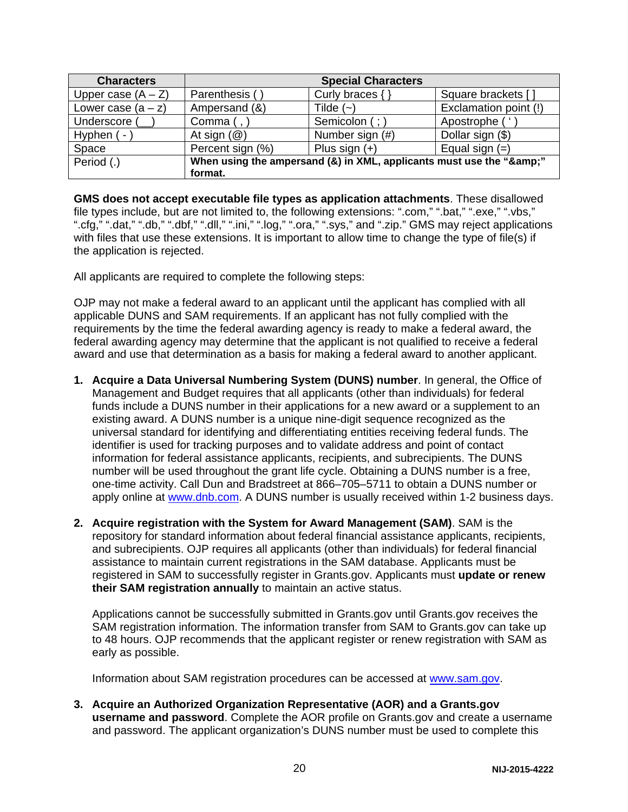| <b>Characters</b>    |                                                                  | <b>Special Characters</b> |                       |
|----------------------|------------------------------------------------------------------|---------------------------|-----------------------|
| Upper case $(A - Z)$ | Parenthesis (                                                    | Curly braces $\{\}$       | Square brackets [     |
| Lower case $(a - z)$ | Ampersand (&)                                                    | Tilde $(-)$               | Exclamation point (!) |
| Underscore           | Comma $($ , $)$                                                  | Semicolon (;)             | Apostrophe (          |
| Hyphen $(-)$         | At sign $(\mathcal{Q})$                                          | Number sign (#)           | Dollar sign (\$)      |
| Space                | Percent sign (%)                                                 | Plus sign $(+)$           | Equal sign $(=)$      |
| Period (.)           | When using the ampersand (&) in XML, applicants must use the "&" |                           |                       |
|                      | format.                                                          |                           |                       |

**GMS does not accept executable file types as application attachments**. These disallowed file types include, but are not limited to, the following extensions: ".com," ".bat," ".exe," ".vbs," ".cfg," ".dat," ".db," ".dbf," ".dll," ".ini," ".log," ".ora," ".sys," and ".zip." GMS may reject applications with files that use these extensions. It is important to allow time to change the type of file(s) if the application is rejected.

All applicants are required to complete the following steps:

OJP may not make a federal award to an applicant until the applicant has complied with all applicable DUNS and SAM requirements. If an applicant has not fully complied with the requirements by the time the federal awarding agency is ready to make a federal award, the federal awarding agency may determine that the applicant is not qualified to receive a federal award and use that determination as a basis for making a federal award to another applicant.

- **1. Acquire a Data Universal Numbering System (DUNS) number**. In general, the Office of Management and Budget requires that all applicants (other than individuals) for federal funds include a DUNS number in their applications for a new award or a supplement to an existing award. A DUNS number is a unique nine-digit sequence recognized as the universal standard for identifying and differentiating entities receiving federal funds. The identifier is used for tracking purposes and to validate address and point of contact information for federal assistance applicants, recipients, and subrecipients. The DUNS number will be used throughout the grant life cycle. Obtaining a DUNS number is a free, one-time activity. Call Dun and Bradstreet at 866–705–5711 to obtain a DUNS number or apply online at [www.dnb.com.](http://www.dnb.com/) A DUNS number is usually received within 1-2 business days.
- **2. Acquire registration with the System for Award Management (SAM)**. SAM is the repository for standard information about federal financial assistance applicants, recipients, and subrecipients. OJP requires all applicants (other than individuals) for federal financial assistance to maintain current registrations in the SAM database. Applicants must be registered in SAM to successfully register in Grants.gov. Applicants must **update or renew their SAM registration annually** to maintain an active status.

Applications cannot be successfully submitted in Grants.gov until Grants.gov receives the SAM registration information. The information transfer from SAM to Grants.gov can take up to 48 hours. OJP recommends that the applicant register or renew registration with SAM as early as possible.

Information about SAM registration procedures can be accessed at [www.sam.gov.](https://www.sam.gov/portal/public/SAM/?portal:componentId=1f834b82-3fed-4eb3-a1f8-ea1f226a7955&portal:type=action&interactionstate=JBPNS_rO0ABXc0ABBfanNmQnJpZGdlVmlld0lkAAAAAQATL2pzZi9uYXZpZ2F0aW9uLmpzcAAHX19FT0ZfXw**)

**3. Acquire an Authorized Organization Representative (AOR) and a Grants.gov username and password**. Complete the AOR profile on Grants.gov and create a username and password. The applicant organization's DUNS number must be used to complete this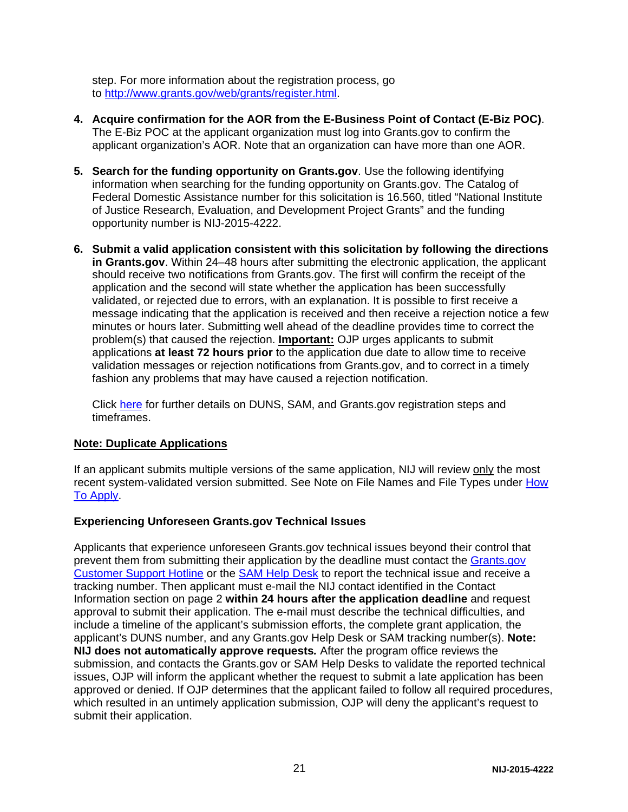step. For more information about the registration process, go to [http://www.grants.gov/web/grants/register.html.](http://www.grants.gov/web/grants/register.html)

- **4. Acquire confirmation for the AOR from the E-Business Point of Contact (E-Biz POC)**. The E-Biz POC at the applicant organization must log into Grants.gov to confirm the applicant organization's AOR. Note that an organization can have more than one AOR.
- **5. Search for the funding opportunity on Grants.gov**. Use the following identifying information when searching for the funding opportunity on Grants.gov. The Catalog of Federal Domestic Assistance number for this solicitation is 16.560, titled "National Institute of Justice Research, Evaluation, and Development Project Grants" and the funding opportunity number is NIJ-2015-4222.
- **6. Submit a valid application consistent with this solicitation by following the directions in Grants.gov**. Within 24–48 hours after submitting the electronic application, the applicant should receive two notifications from Grants.gov. The first will confirm the receipt of the application and the second will state whether the application has been successfully validated, or rejected due to errors, with an explanation. It is possible to first receive a message indicating that the application is received and then receive a rejection notice a few minutes or hours later. Submitting well ahead of the deadline provides time to correct the problem(s) that caused the rejection. **Important:** OJP urges applicants to submit applications **at least 72 hours prior** to the application due date to allow time to receive validation messages or rejection notifications from Grants.gov, and to correct in a timely fashion any problems that may have caused a rejection notification.

Click [here](http://www.grants.gov/web/grants/applicants/organization-registration.html) for further details on DUNS, SAM, and Grants.gov registration steps and timeframes.

### **Note: Duplicate Applications**

If an applicant submits multiple versions of the same application, NIJ will review only the most recent system-validated version submitted. See Note on File Names and File Types under [How](#page-18-0)  [To Apply.](#page-18-0)

#### **Experiencing Unforeseen Grants.gov Technical Issues**

Applicants that experience unforeseen Grants.gov technical issues beyond their control that prevent them from submitting their application by the deadline must contact the [Grants.gov](mailto:support@grants.gov)  [Customer Support Hotline](mailto:support@grants.gov) or the [SAM Help Desk](http://www.fsd.gov/) to report the technical issue and receive a tracking number. Then applicant must e-mail the NIJ contact identified in the Contact Information section on page 2 **within 24 hours after the application deadline** and request approval to submit their application. The e-mail must describe the technical difficulties, and include a timeline of the applicant's submission efforts, the complete grant application, the applicant's DUNS number, and any Grants.gov Help Desk or SAM tracking number(s). **Note: NIJ does not automatically approve requests***.* After the program office reviews the submission, and contacts the Grants.gov or SAM Help Desks to validate the reported technical issues, OJP will inform the applicant whether the request to submit a late application has been approved or denied. If OJP determines that the applicant failed to follow all required procedures, which resulted in an untimely application submission, OJP will deny the applicant's request to submit their application.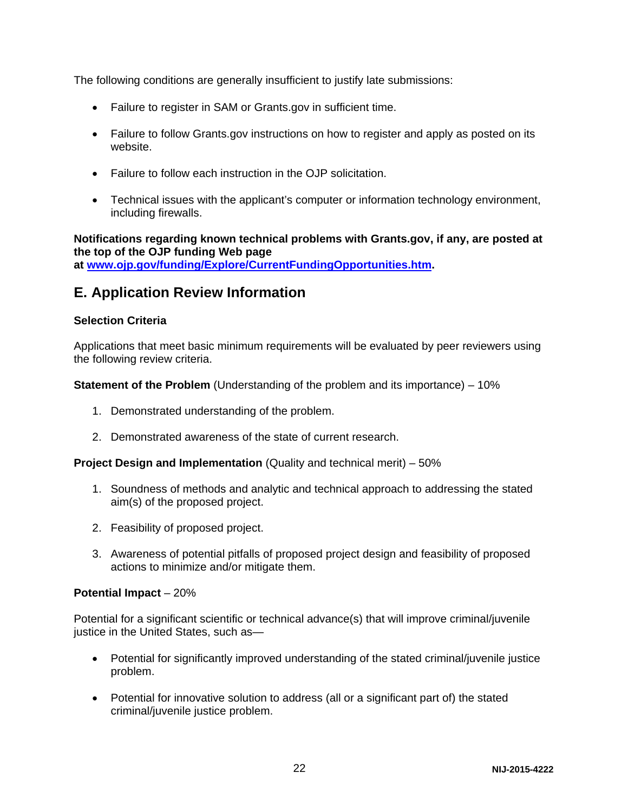The following conditions are generally insufficient to justify late submissions:

- Failure to register in SAM or Grants.gov in sufficient time.
- Failure to follow Grants.gov instructions on how to register and apply as posted on its website.
- Failure to follow each instruction in the OJP solicitation.
- Technical issues with the applicant's computer or information technology environment, including firewalls.

**Notifications regarding known technical problems with Grants.gov, if any, are posted at the top of the OJP funding Web page at [www.ojp.gov/funding/Explore/CurrentFundingOpportunities.htm.](http://ojp.gov/funding/Explore/CurrentFundingOpportunities.htm)**

## <span id="page-21-0"></span>**E. Application Review Information**

#### <span id="page-21-1"></span>**Selection Criteria**

Applications that meet basic minimum requirements will be evaluated by peer reviewers using the following review criteria.

**Statement of the Problem** (Understanding of the problem and its importance) – 10%

- 1. Demonstrated understanding of the problem.
- 2. Demonstrated awareness of the state of current research.

**Project Design and Implementation** (Quality and technical merit) – 50%

- 1. Soundness of methods and analytic and technical approach to addressing the stated aim(s) of the proposed project.
- 2. Feasibility of proposed project.
- 3. Awareness of potential pitfalls of proposed project design and feasibility of proposed actions to minimize and/or mitigate them.

#### **Potential Impact** – 20%

Potential for a significant scientific or technical advance(s) that will improve criminal/juvenile justice in the United States, such as—

- Potential for significantly improved understanding of the stated criminal/juvenile justice problem.
- Potential for innovative solution to address (all or a significant part of) the stated criminal/juvenile justice problem.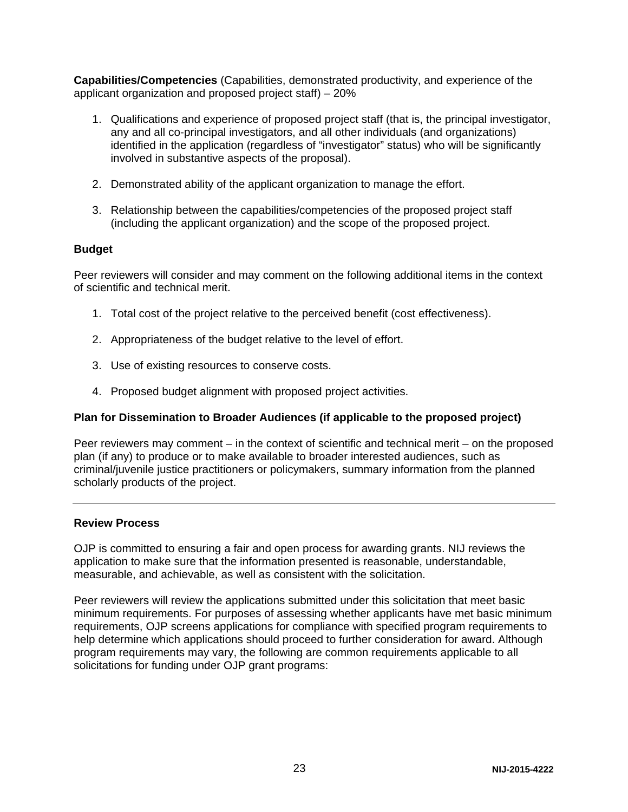**Capabilities/Competencies** (Capabilities, demonstrated productivity, and experience of the applicant organization and proposed project staff) – 20%

- 1. Qualifications and experience of proposed project staff (that is, the principal investigator, any and all co-principal investigators, and all other individuals (and organizations) identified in the application (regardless of "investigator" status) who will be significantly involved in substantive aspects of the proposal).
- 2. Demonstrated ability of the applicant organization to manage the effort.
- 3. Relationship between the capabilities/competencies of the proposed project staff (including the applicant organization) and the scope of the proposed project.

#### **Budget**

Peer reviewers will consider and may comment on the following additional items in the context of scientific and technical merit.

- 1. Total cost of the project relative to the perceived benefit (cost effectiveness).
- 2. Appropriateness of the budget relative to the level of effort.
- 3. Use of existing resources to conserve costs.
- 4. Proposed budget alignment with proposed project activities.

### **Plan for Dissemination to Broader Audiences (if applicable to the proposed project)**

Peer reviewers may comment – in the context of scientific and technical merit – on the proposed plan (if any) to produce or to make available to broader interested audiences, such as criminal/juvenile justice practitioners or policymakers, summary information from the planned scholarly products of the project.

#### <span id="page-22-0"></span>**Review Process**

OJP is committed to ensuring a fair and open process for awarding grants. NIJ reviews the application to make sure that the information presented is reasonable, understandable, measurable, and achievable, as well as consistent with the solicitation.

Peer reviewers will review the applications submitted under this solicitation that meet basic minimum requirements. For purposes of assessing whether applicants have met basic minimum requirements, OJP screens applications for compliance with specified program requirements to help determine which applications should proceed to further consideration for award. Although program requirements may vary, the following are common requirements applicable to all solicitations for funding under OJP grant programs: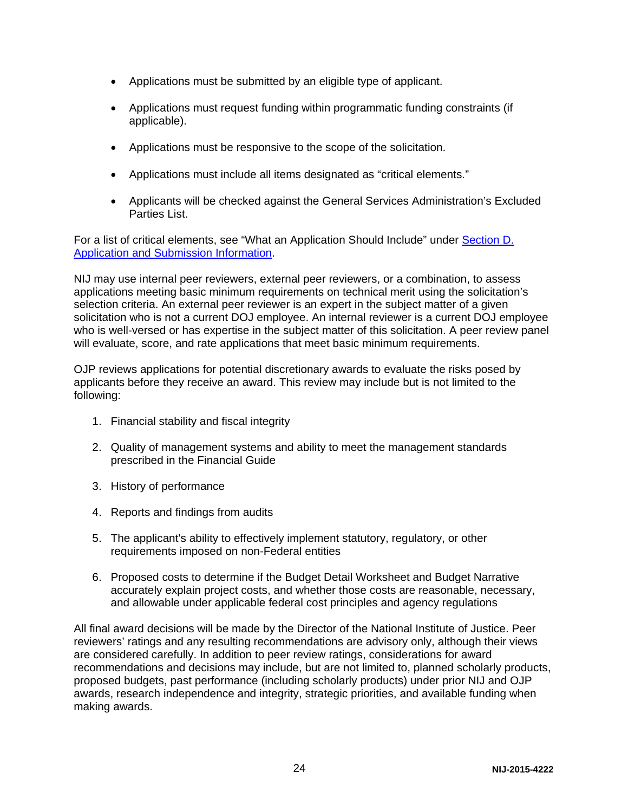- Applications must be submitted by an eligible type of applicant.
- Applications must request funding within programmatic funding constraints (if applicable).
- Applications must be responsive to the scope of the solicitation.
- Applications must include all items designated as "critical elements."
- Applicants will be checked against the General Services Administration's Excluded Parties List.

For a list of critical elements, see "What an Application Should Include" under [Section D.](#page-8-3)  [Application and Submission Information.](#page-8-3)

NIJ may use internal peer reviewers, external peer reviewers, or a combination, to assess applications meeting basic minimum requirements on technical merit using the solicitation's selection criteria. An external peer reviewer is an expert in the subject matter of a given solicitation who is not a current DOJ employee. An internal reviewer is a current DOJ employee who is well-versed or has expertise in the subject matter of this solicitation. A peer review panel will evaluate, score, and rate applications that meet basic minimum requirements.

OJP reviews applications for potential discretionary awards to evaluate the risks posed by applicants before they receive an award. This review may include but is not limited to the following:

- 1. Financial stability and fiscal integrity
- 2. Quality of management systems and ability to meet the management standards prescribed in the Financial Guide
- 3. History of performance
- 4. Reports and findings from audits
- 5. The applicant's ability to effectively implement statutory, regulatory, or other requirements imposed on non-Federal entities
- 6. Proposed costs to determine if the Budget Detail Worksheet and Budget Narrative accurately explain project costs, and whether those costs are reasonable, necessary, and allowable under applicable federal cost principles and agency regulations

All final award decisions will be made by the Director of the National Institute of Justice. Peer reviewers' ratings and any resulting recommendations are advisory only, although their views are considered carefully. In addition to peer review ratings, considerations for award recommendations and decisions may include, but are not limited to, planned scholarly products, proposed budgets, past performance (including scholarly products) under prior NIJ and OJP awards, research independence and integrity, strategic priorities, and available funding when making awards.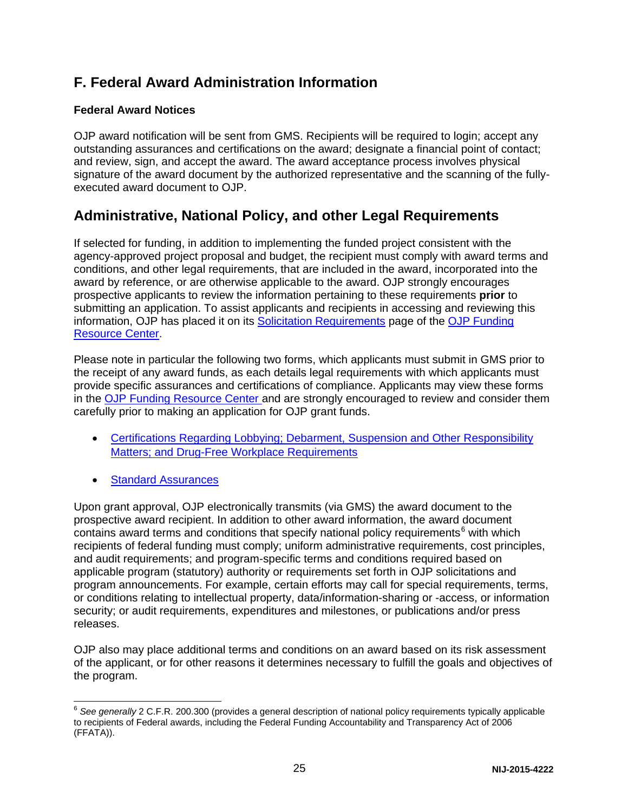## <span id="page-24-0"></span>**F. Federal Award Administration Information**

## <span id="page-24-1"></span>**Federal Award Notices**

OJP award notification will be sent from GMS. Recipients will be required to login; accept any outstanding assurances and certifications on the award; designate a financial point of contact; and review, sign, and accept the award. The award acceptance process involves physical signature of the award document by the authorized representative and the scanning of the fullyexecuted award document to OJP.

## <span id="page-24-2"></span>**Administrative, National Policy, and other Legal Requirements**

If selected for funding, in addition to implementing the funded project consistent with the agency-approved project proposal and budget, the recipient must comply with award terms and conditions, and other legal requirements, that are included in the award, incorporated into the award by reference, or are otherwise applicable to the award. OJP strongly encourages prospective applicants to review the information pertaining to these requirements **prior** to submitting an application. To assist applicants and recipients in accessing and reviewing this information, OJP has placed it on its [Solicitation Requirements](http://ojp.gov/funding/Explore/SolicitationRequirements/index.htm) page of the OJP Funding [Resource Center.](http://ojp.gov/funding/index.htm)

Please note in particular the following two forms, which applicants must submit in GMS prior to the receipt of any award funds, as each details legal requirements with which applicants must provide specific assurances and certifications of compliance. Applicants may view these forms in the [OJP Funding Resource Center](http://ojp.gov/funding/index.htm) and are strongly encouraged to review and consider them carefully prior to making an application for OJP grant funds.

- [Certifications Regarding Lobbying; Debarment, Suspension and Other Responsibility](http://ojp.gov/funding/Apply/Forms.htm)  [Matters; and Drug-Free Workplace Requirements](http://ojp.gov/funding/Apply/Forms.htm)
- **[Standard Assurances](http://ojp.gov/funding/Apply/Forms.htm)**

Upon grant approval, OJP electronically transmits (via GMS) the award document to the prospective award recipient. In addition to other award information, the award document contains award terms and conditions that specify national policy requirements<sup>[6](#page-24-3)</sup> with which recipients of federal funding must comply; uniform administrative requirements, cost principles, and audit requirements; and program-specific terms and conditions required based on applicable program (statutory) authority or requirements set forth in OJP solicitations and program announcements. For example, certain efforts may call for special requirements, terms, or conditions relating to intellectual property, data/information-sharing or -access, or information security; or audit requirements, expenditures and milestones, or publications and/or press releases.

OJP also may place additional terms and conditions on an award based on its risk assessment of the applicant, or for other reasons it determines necessary to fulfill the goals and objectives of the program.

<span id="page-24-3"></span><sup>6</sup> *See generally* 2 C.F.R. 200.300 (provides a general description of national policy requirements typically applicable to recipients of Federal awards, including the Federal Funding Accountability and Transparency Act of 2006 (FFATA)).  $\overline{a}$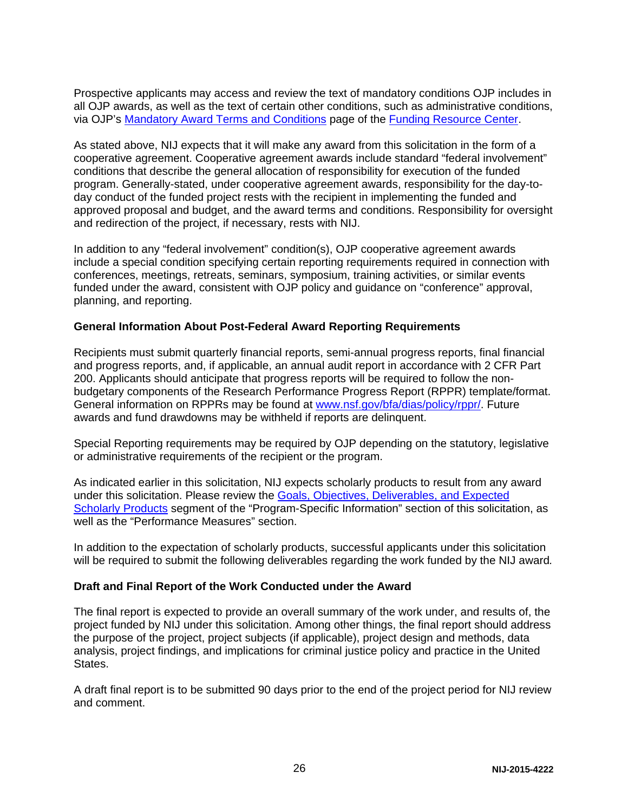Prospective applicants may access and review the text of mandatory conditions OJP includes in all OJP awards, as well as the text of certain other conditions, such as administrative conditions, via OJP's [Mandatory Award Terms and Conditions](http://ojp.gov/funding/Explore/SolicitationRequirements/MandatoryTermsConditions.htm) page of the [Funding Resource Center.](http://ojp.gov/funding/index.htm)

As stated above, NIJ expects that it will make any award from this solicitation in the form of a cooperative agreement. Cooperative agreement awards include standard "federal involvement" conditions that describe the general allocation of responsibility for execution of the funded program. Generally-stated, under cooperative agreement awards, responsibility for the day-today conduct of the funded project rests with the recipient in implementing the funded and approved proposal and budget, and the award terms and conditions. Responsibility for oversight and redirection of the project, if necessary, rests with NIJ.

In addition to any "federal involvement" condition(s), OJP cooperative agreement awards include a special condition specifying certain reporting requirements required in connection with conferences, meetings, retreats, seminars, symposium, training activities, or similar events funded under the award, consistent with OJP policy and guidance on "conference" approval, planning, and reporting.

#### <span id="page-25-0"></span>**General Information About Post-Federal Award Reporting Requirements**

Recipients must submit quarterly financial reports, semi-annual progress reports, final financial and progress reports, and, if applicable, an annual audit report in accordance with 2 CFR Part 200. Applicants should anticipate that progress reports will be required to follow the nonbudgetary components of the Research Performance Progress Report (RPPR) template/format. General information on RPPRs may be found at [www.nsf.gov/bfa/dias/policy/rppr/.](http://www.nsf.gov/bfa/dias/policy/rppr/) Future awards and fund drawdowns may be withheld if reports are delinquent.

Special Reporting requirements may be required by OJP depending on the statutory, legislative or administrative requirements of the recipient or the program.

As indicated earlier in this solicitation, NIJ expects scholarly products to result from any award under this solicitation. Please review the [Goals, Objectives, Deliverables, and Expected](#page-4-0)  [Scholarly Products](#page-4-0) segment of the "Program-Specific Information" section of this solicitation, as well as the "Performance Measures" section.

In addition to the expectation of scholarly products, successful applicants under this solicitation will be required to submit the following deliverables regarding the work funded by the NIJ award*.*

#### **Draft and Final Report of the Work Conducted under the Award**

The final report is expected to provide an overall summary of the work under, and results of, the project funded by NIJ under this solicitation. Among other things, the final report should address the purpose of the project, project subjects (if applicable), project design and methods, data analysis, project findings, and implications for criminal justice policy and practice in the United States.

A draft final report is to be submitted 90 days prior to the end of the project period for NIJ review and comment.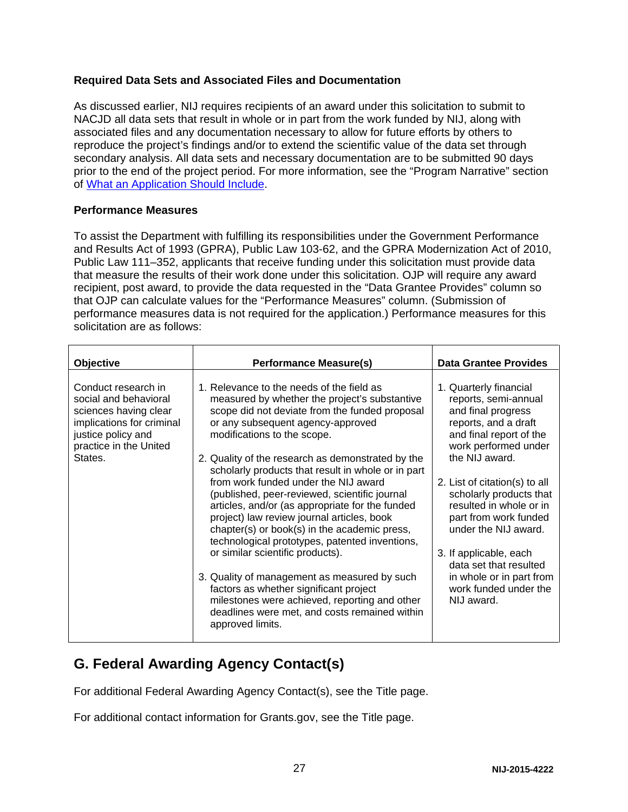### **Required Data Sets and Associated Files and Documentation**

As discussed earlier, NIJ requires recipients of an award under this solicitation to submit to NACJD all data sets that result in whole or in part from the work funded by NIJ, along with associated files and any documentation necessary to allow for future efforts by others to reproduce the project's findings and/or to extend the scientific value of the data set through secondary analysis. All data sets and necessary documentation are to be submitted 90 days prior to the end of the project period. For more information, see the "Program Narrative" section of [What an Application Should Include.](#page-8-4)

#### **Performance Measures**

To assist the Department with fulfilling its responsibilities under the Government Performance and Results Act of 1993 (GPRA), Public Law 103-62, and the GPRA Modernization Act of 2010, Public Law 111–352, applicants that receive funding under this solicitation must provide data that measure the results of their work done under this solicitation. OJP will require any award recipient, post award, to provide the data requested in the "Data Grantee Provides" column so that OJP can calculate values for the "Performance Measures" column. (Submission of performance measures data is not required for the application.) Performance measures for this solicitation are as follows:

| <b>Objective</b>                                                                                                                                              | <b>Performance Measure(s)</b>                                                                                                                                                                                                                                                                                                                                                                                                                                                                                                                                                                                                                                                                                                                                                                                                                                               | <b>Data Grantee Provides</b>                                                                                                                                                                                                                                                                                                                                                                                                     |
|---------------------------------------------------------------------------------------------------------------------------------------------------------------|-----------------------------------------------------------------------------------------------------------------------------------------------------------------------------------------------------------------------------------------------------------------------------------------------------------------------------------------------------------------------------------------------------------------------------------------------------------------------------------------------------------------------------------------------------------------------------------------------------------------------------------------------------------------------------------------------------------------------------------------------------------------------------------------------------------------------------------------------------------------------------|----------------------------------------------------------------------------------------------------------------------------------------------------------------------------------------------------------------------------------------------------------------------------------------------------------------------------------------------------------------------------------------------------------------------------------|
| Conduct research in<br>social and behavioral<br>sciences having clear<br>implications for criminal<br>justice policy and<br>practice in the United<br>States. | 1. Relevance to the needs of the field as<br>measured by whether the project's substantive<br>scope did not deviate from the funded proposal<br>or any subsequent agency-approved<br>modifications to the scope.<br>2. Quality of the research as demonstrated by the<br>scholarly products that result in whole or in part<br>from work funded under the NIJ award<br>(published, peer-reviewed, scientific journal<br>articles, and/or (as appropriate for the funded<br>project) law review journal articles, book<br>chapter(s) or book(s) in the academic press,<br>technological prototypes, patented inventions,<br>or similar scientific products).<br>3. Quality of management as measured by such<br>factors as whether significant project<br>milestones were achieved, reporting and other<br>deadlines were met, and costs remained within<br>approved limits. | 1. Quarterly financial<br>reports, semi-annual<br>and final progress<br>reports, and a draft<br>and final report of the<br>work performed under<br>the NIJ award.<br>2. List of citation(s) to all<br>scholarly products that<br>resulted in whole or in<br>part from work funded<br>under the NIJ award.<br>3. If applicable, each<br>data set that resulted<br>in whole or in part from<br>work funded under the<br>NIJ award. |

## <span id="page-26-0"></span>**G. Federal Awarding Agency Contact(s)**

For additional Federal Awarding Agency Contact(s), see the Title page.

For additional contact information for Grants.gov, see the Title page.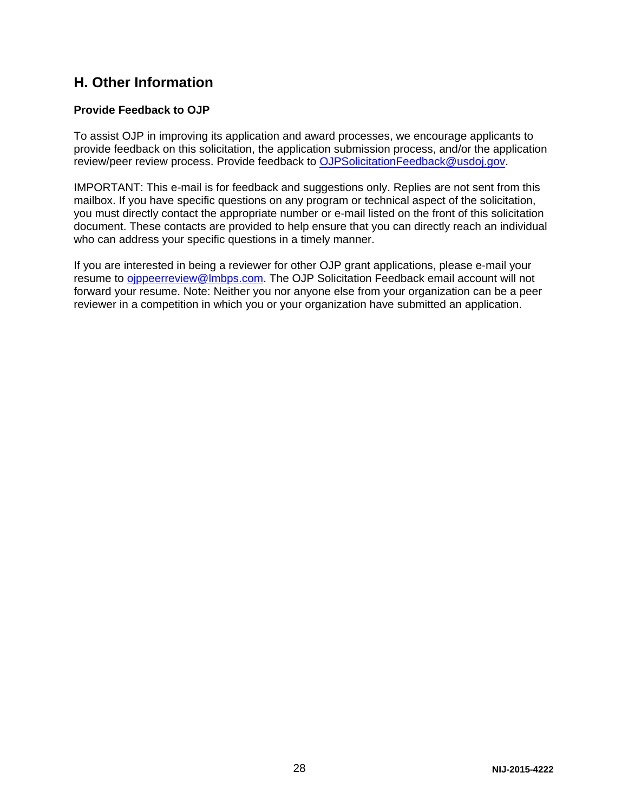## <span id="page-27-0"></span>**H. Other Information**

## <span id="page-27-1"></span>**Provide Feedback to OJP**

To assist OJP in improving its application and award processes, we encourage applicants to provide feedback on this solicitation, the application submission process, and/or the application review/peer review process. Provide feedback to [OJPSolicitationFeedback@usdoj.gov.](mailto:OJPSolicitationFeedback@usdoj.gov)

IMPORTANT: This e-mail is for feedback and suggestions only. Replies are not sent from this mailbox. If you have specific questions on any program or technical aspect of the solicitation, you must directly contact the appropriate number or e-mail listed on the front of this solicitation document. These contacts are provided to help ensure that you can directly reach an individual who can address your specific questions in a timely manner.

If you are interested in being a reviewer for other OJP grant applications, please e-mail your resume to [ojppeerreview@lmbps.com.](mailto:ojppeerreview@lmbps.com) The OJP Solicitation Feedback email account will not forward your resume. Note: Neither you nor anyone else from your organization can be a peer reviewer in a competition in which you or your organization have submitted an application.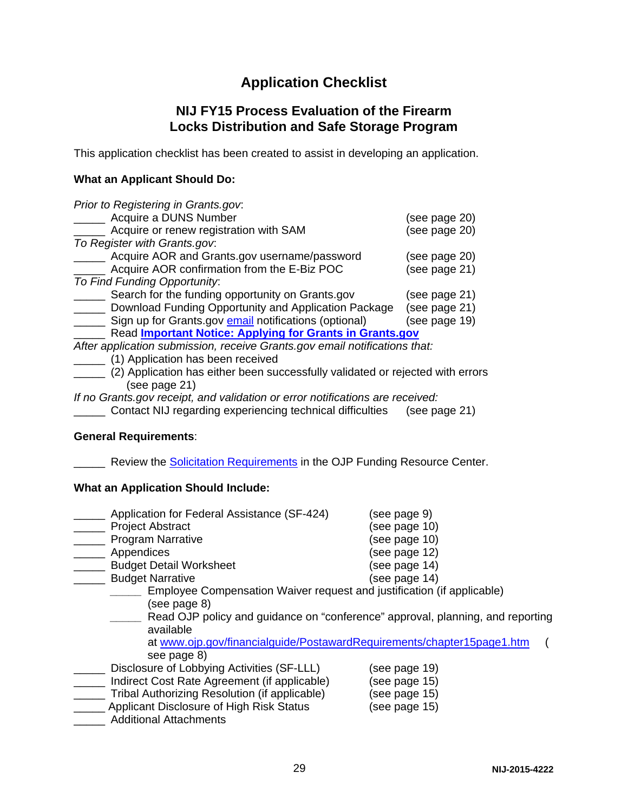## **Application Checklist**

## **NIJ FY15 Process Evaluation of the Firearm Locks Distribution and Safe Storage Program**

<span id="page-28-0"></span>This application checklist has been created to assist in developing an application.

#### **What an Applicant Should Do:**

| Prior to Registering in Grants.gov.                                            |               |
|--------------------------------------------------------------------------------|---------------|
| Acquire a DUNS Number                                                          | (see page 20) |
| Acquire or renew registration with SAM                                         | (see page 20) |
| To Register with Grants.gov.                                                   |               |
| Acquire AOR and Grants.gov username/password                                   | (see page 20) |
| Acquire AOR confirmation from the E-Biz POC                                    | (see page 21) |
| To Find Funding Opportunity:                                                   |               |
| Search for the funding opportunity on Grants.gov                               | (see page 21) |
| Download Funding Opportunity and Application Package                           | (see page 21) |
| Sign up for Grants.gov email notifications (optional)                          | (see page 19) |
| Read <b>Important Notice: Applying for Grants in Grants.gov</b>                |               |
| After application submission, receive Grants.gov email notifications that:     |               |
| (1) Application has been received                                              |               |
| (2) Application has either been successfully validated or rejected with errors |               |
| (see page 21)                                                                  |               |
| If no Grants gov receipt, and validation or error notifications are received:  |               |

\_\_\_\_\_ Contact NIJ regarding experiencing technical difficulties (see page 21)

#### **General Requirements**:

**EXECT** Review the **Solicitation Requirements** in the OJP Funding Resource Center.

## **What an Application Should Include:**

| Application for Federal Assistance (SF-424)                                                                                                                                                                                                                                    | (see page 9)  |  |
|--------------------------------------------------------------------------------------------------------------------------------------------------------------------------------------------------------------------------------------------------------------------------------|---------------|--|
| <b>Project Abstract</b>                                                                                                                                                                                                                                                        | (see page 10) |  |
| <b>Program Narrative</b>                                                                                                                                                                                                                                                       | (see page 10) |  |
| Appendices                                                                                                                                                                                                                                                                     | (see page 12) |  |
| <b>Budget Detail Worksheet</b>                                                                                                                                                                                                                                                 | (see page 14) |  |
| <b>Budget Narrative</b>                                                                                                                                                                                                                                                        | (see page 14) |  |
| Employee Compensation Waiver request and justification (if applicable)<br>(see page 8)<br>Read OJP policy and guidance on "conference" approval, planning, and reporting<br>available<br>at www.ojp.gov/financialguide/PostawardRequirements/chapter15page1.htm<br>see page 8) |               |  |
| Disclosure of Lobbying Activities (SF-LLL)                                                                                                                                                                                                                                     | (see page 19) |  |
| Indirect Cost Rate Agreement (if applicable)                                                                                                                                                                                                                                   | (see page 15) |  |
| Tribal Authorizing Resolution (if applicable)                                                                                                                                                                                                                                  | (see page 15) |  |
| Applicant Disclosure of High Risk Status<br><b>Additional Attachments</b>                                                                                                                                                                                                      | (see page 15) |  |